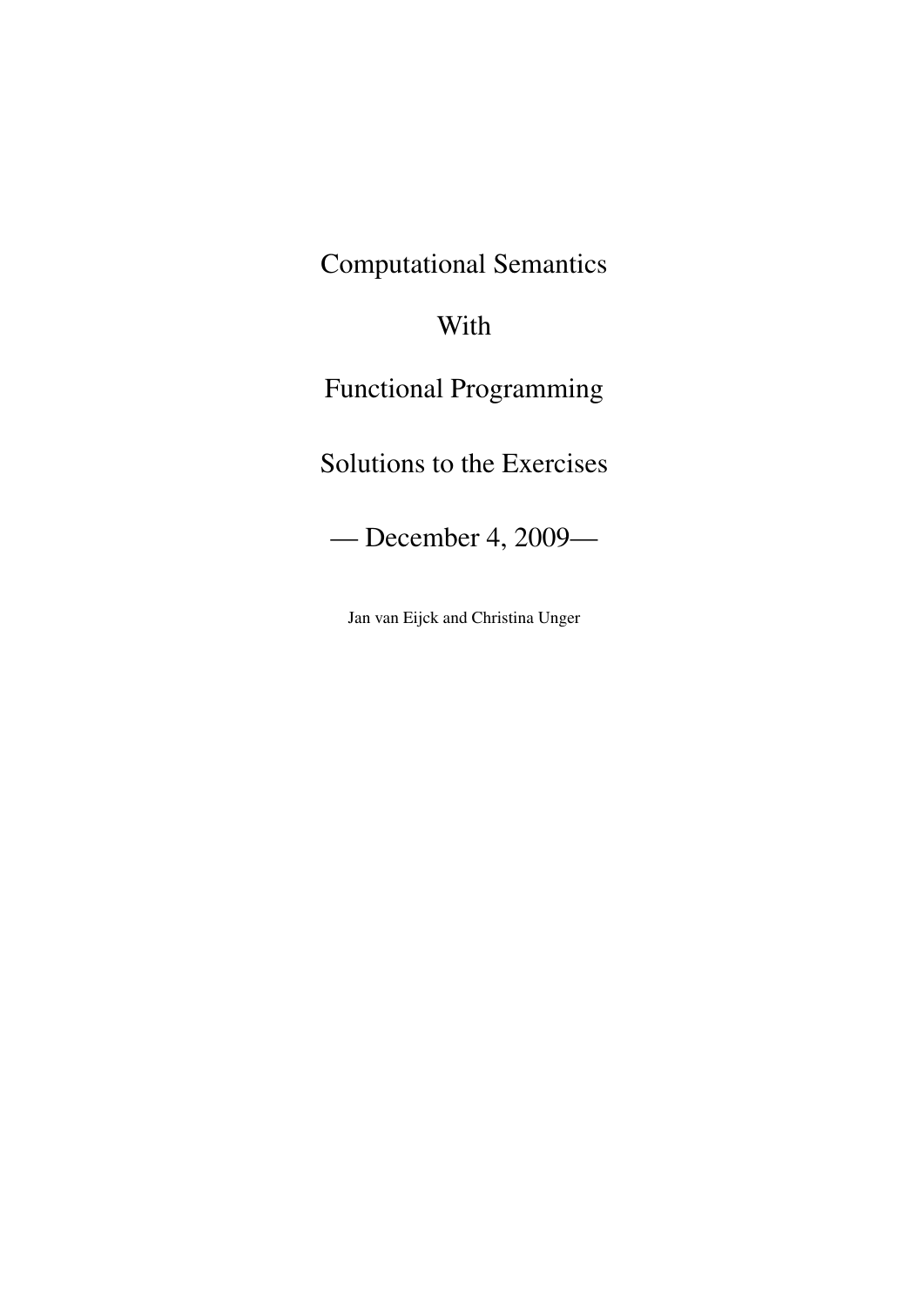Computational Semantics

# With

Functional Programming

Solutions to the Exercises

— December 4, 2009—

Jan van Eijck and Christina Unger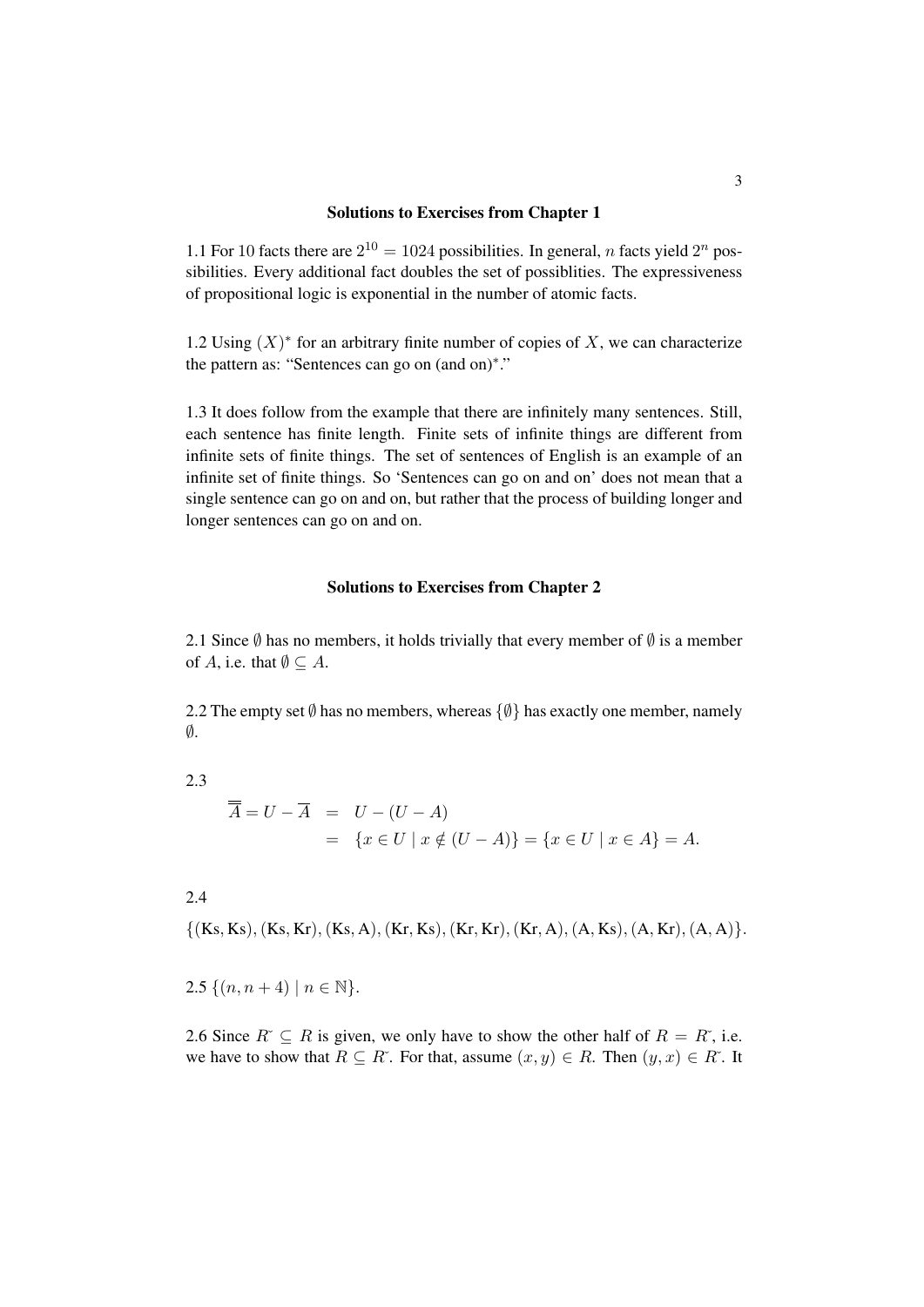#### Solutions to Exercises from Chapter 1

1.1 For 10 facts there are  $2^{10} = 1024$  possibilities. In general, *n* facts yield  $2^n$  possibilities. Every additional fact doubles the set of possiblities. The expressiveness of propositional logic is exponential in the number of atomic facts.

1.2 Using  $(X)^*$  for an arbitrary finite number of copies of X, we can characterize the pattern as: "Sentences can go on (and on)\*."

1.3 It does follow from the example that there are infinitely many sentences. Still, each sentence has finite length. Finite sets of infinite things are different from infinite sets of finite things. The set of sentences of English is an example of an infinite set of finite things. So 'Sentences can go on and on' does not mean that a single sentence can go on and on, but rather that the process of building longer and longer sentences can go on and on.

#### Solutions to Exercises from Chapter 2

2.1 Since  $\emptyset$  has no members, it holds trivially that every member of  $\emptyset$  is a member of A, i.e. that  $\emptyset \subseteq A$ .

2.2 The empty set  $\emptyset$  has no members, whereas  $\{\emptyset\}$  has exactly one member, namely  $\emptyset$ .

2.3

$$
\overline{\overline{A}} = U - \overline{A} = U - (U - A)
$$
  
= {x \in U | x \notin (U - A)} = {x \in U | x \in A} = A.

2.4

 $\{(Ks, Ks), (Ks, Kr), (Ks, A), (Kr, Ks), (Kr, Kr), (Kr, A), (A, Ks), (A, Kr), (A, A)\}.$ 

2.5  $\{(n, n+4) \mid n \in \mathbb{N}\}.$ 

2.6 Since  $R \subseteq R$  is given, we only have to show the other half of  $R = R^*$ , i.e. we have to show that  $R \subseteq R^*$ . For that, assume  $(x, y) \in R$ . Then  $(y, x) \in R^*$ . It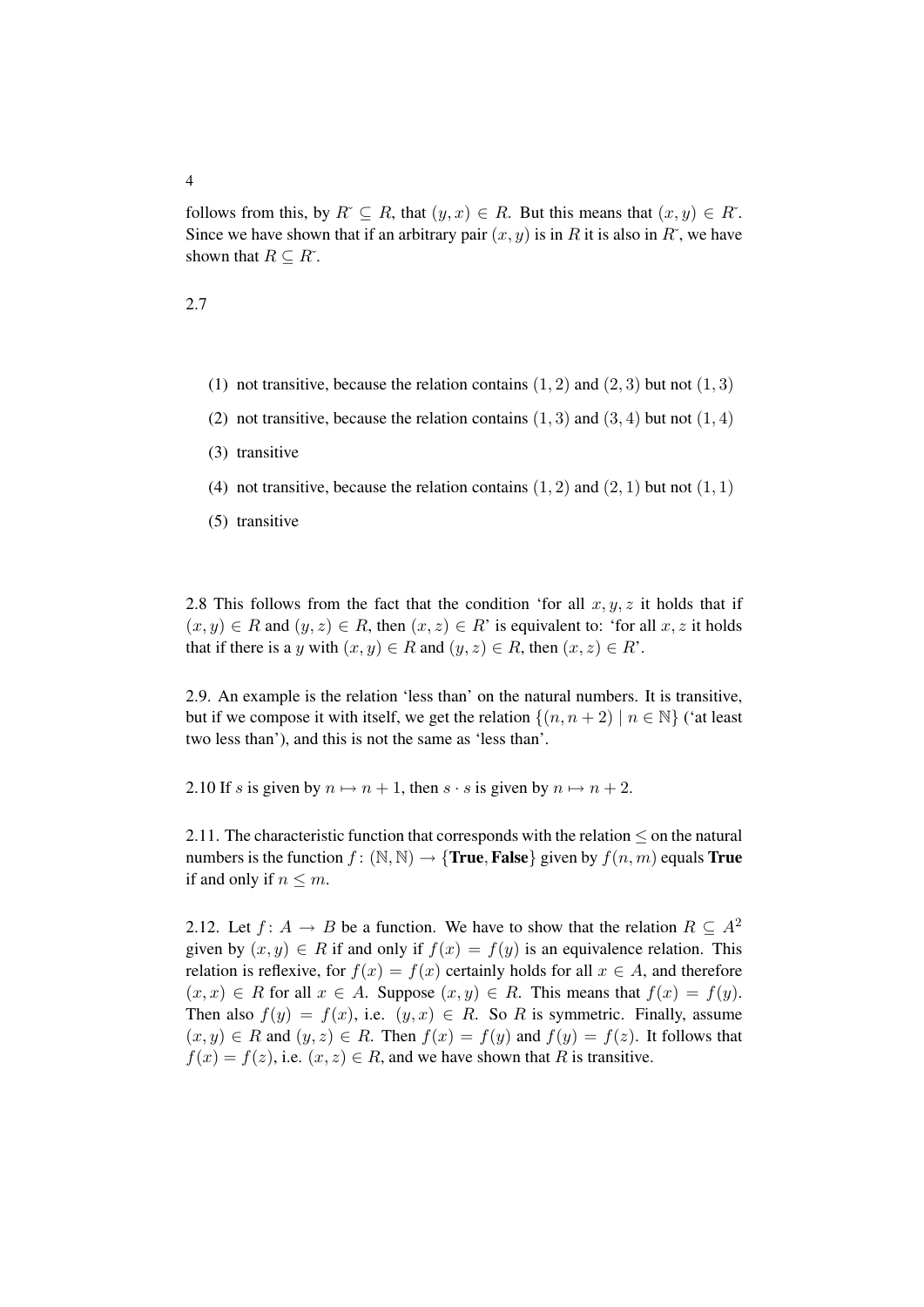follows from this, by  $R \subseteq R$ , that  $(y, x) \in R$ . But this means that  $(x, y) \in R^*$ . Since we have shown that if an arbitrary pair  $(x, y)$  is in R it is also in R<sup> $\dot{\rm}$ </sup>, we have shown that  $R \subseteq R^{\times}$ .

2.7

- (1) not transitive, because the relation contains  $(1, 2)$  and  $(2, 3)$  but not  $(1, 3)$
- (2) not transitive, because the relation contains  $(1, 3)$  and  $(3, 4)$  but not  $(1, 4)$
- (3) transitive
- (4) not transitive, because the relation contains  $(1, 2)$  and  $(2, 1)$  but not  $(1, 1)$
- (5) transitive

2.8 This follows from the fact that the condition 'for all  $x, y, z$  it holds that if  $(x, y) \in R$  and  $(y, z) \in R$ , then  $(x, z) \in R'$  is equivalent to: 'for all  $x, z$  it holds that if there is a y with  $(x, y) \in R$  and  $(y, z) \in R$ , then  $(x, z) \in R'$ .

2.9. An example is the relation 'less than' on the natural numbers. It is transitive, but if we compose it with itself, we get the relation  $\{(n, n + 2) \mid n \in \mathbb{N}\}\$  ('at least two less than'), and this is not the same as 'less than'.

2.10 If s is given by  $n \mapsto n + 1$ , then  $s \cdot s$  is given by  $n \mapsto n + 2$ .

2.11. The characteristic function that corresponds with the relation  $\leq$  on the natural numbers is the function  $f : (\mathbb{N}, \mathbb{N}) \to \{ \text{True}, \text{False} \}$  given by  $f(n, m)$  equals True if and only if  $n \leq m$ .

2.12. Let  $f: A \to B$  be a function. We have to show that the relation  $R \subseteq A^2$ given by  $(x, y) \in R$  if and only if  $f(x) = f(y)$  is an equivalence relation. This relation is reflexive, for  $f(x) = f(x)$  certainly holds for all  $x \in A$ , and therefore  $(x, x) \in R$  for all  $x \in A$ . Suppose  $(x, y) \in R$ . This means that  $f(x) = f(y)$ . Then also  $f(y) = f(x)$ , i.e.  $(y, x) \in R$ . So R is symmetric. Finally, assume  $(x, y) \in R$  and  $(y, z) \in R$ . Then  $f(x) = f(y)$  and  $f(y) = f(z)$ . It follows that  $f(x) = f(z)$ , i.e.  $(x, z) \in R$ , and we have shown that R is transitive.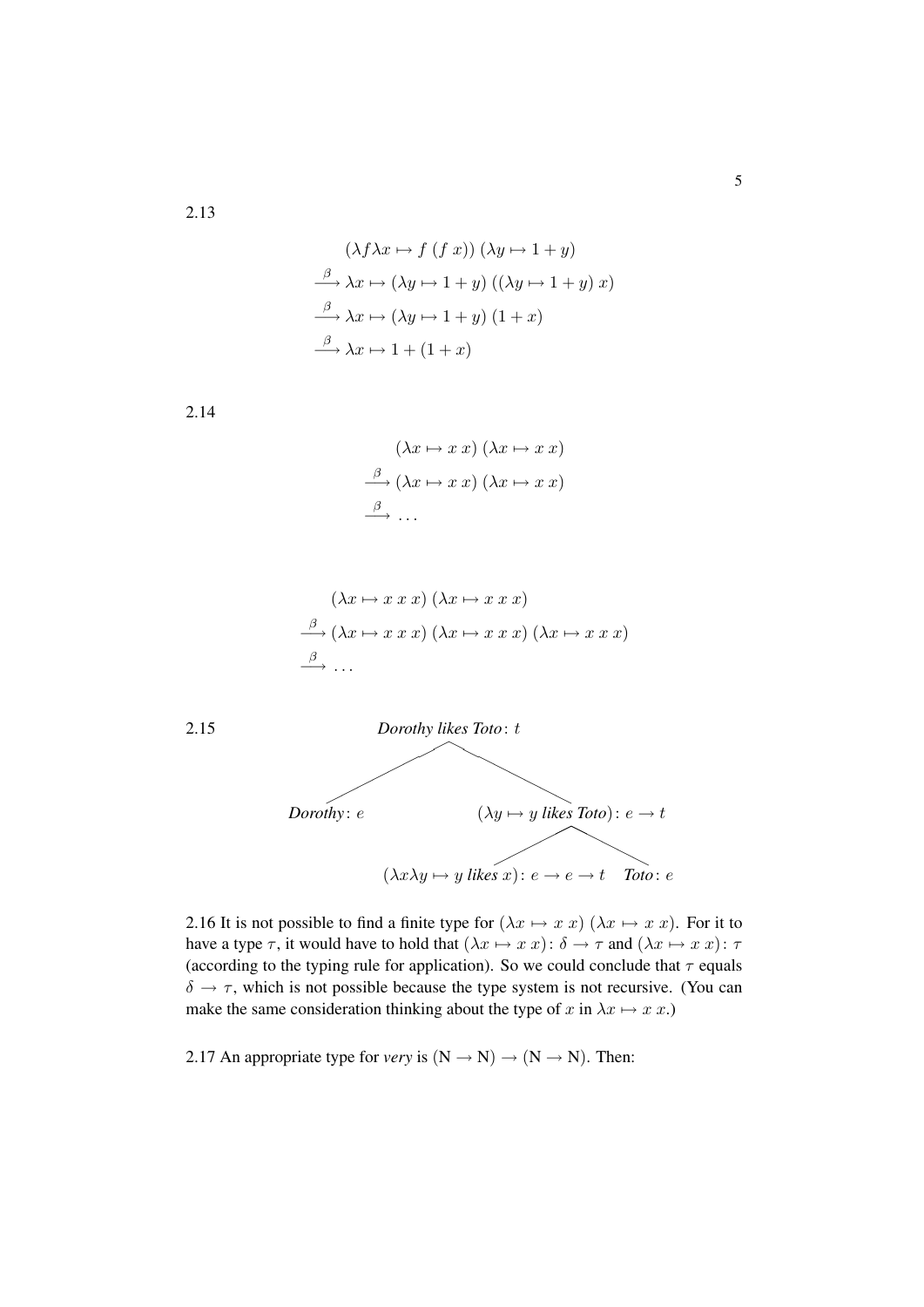$$
(\lambda f \lambda x \mapsto f (f x)) (\lambda y \mapsto 1 + y)
$$
  
\n
$$
\xrightarrow{\beta} \lambda x \mapsto (\lambda y \mapsto 1 + y) ((\lambda y \mapsto 1 + y) x)
$$
  
\n
$$
\xrightarrow{\beta} \lambda x \mapsto (\lambda y \mapsto 1 + y) (1 + x)
$$
  
\n
$$
\xrightarrow{\beta} \lambda x \mapsto 1 + (1 + x)
$$

2.14

$$
(\lambda x \mapsto x \ x) \ (\lambda x \mapsto x \ x)
$$

$$
\xrightarrow{\beta} (\lambda x \mapsto x \ x) \ (\lambda x \mapsto x \ x)
$$

$$
\xrightarrow{\beta} \ \ldots
$$

$$
(\lambda x \mapsto x \ x \ x) \ (\lambda x \mapsto x \ x \ x)
$$

$$
\xrightarrow{\beta} (\lambda x \mapsto x \ x \ x) \ (\lambda x \mapsto x \ x \ x)
$$

$$
\xrightarrow{\beta} \ \ldots
$$



2.16 It is not possible to find a finite type for  $(\lambda x \mapsto x \ x)$   $(\lambda x \mapsto x \ x)$ . For it to have a type  $\tau$ , it would have to hold that  $(\lambda x \mapsto x \ x) : \delta \to \tau$  and  $(\lambda x \mapsto x \ x) : \tau$ (according to the typing rule for application). So we could conclude that  $\tau$  equals  $\delta \rightarrow \tau$ , which is not possible because the type system is not recursive. (You can make the same consideration thinking about the type of x in  $\lambda x \mapsto x \, x$ .)

2.17 An appropriate type for *very* is  $(N \rightarrow N) \rightarrow (N \rightarrow N)$ . Then: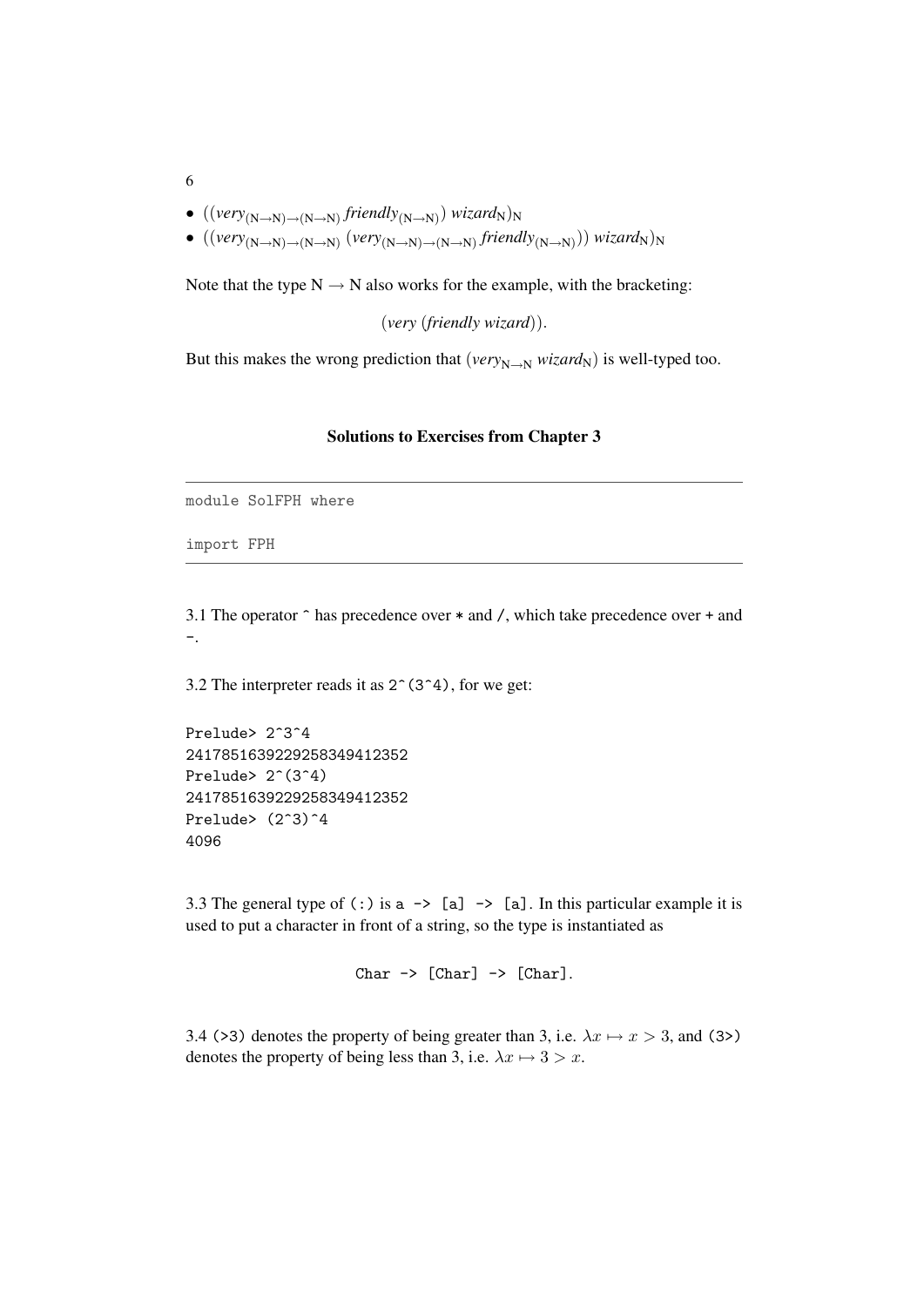- $\bullet$  ((very<sub>(N→N)→(N→N)</sub> friendly<sub>(N→N)</sub>) wizard<sub>N</sub>)<sub>N</sub>
- ((*very*<sub>(N→N)→(N→N)</sub> (*very*<sub>(N→N)→(N→N) *friendly*<sub>(N→N)</sub>)) *wizard*<sub>N</sub>)<sub>N</sub></sub>

Note that the type  $N \rightarrow N$  also works for the example, with the bracketing:

(*very* (*friendly wizard*)).

But this makes the wrong prediction that ( $very_{N\rightarrow N} wizard_N$ ) is well-typed too.

#### Solutions to Exercises from Chapter 3

module SolFPH where

import FPH

3.1 The operator ^ has precedence over \* and /, which take precedence over + and -.

3.2 The interpreter reads it as  $2^{\degree}(3^{\degree}4)$ , for we get:

Prelude> 2^3^4 2417851639229258349412352 Prelude>  $2^*(3^4)$ 2417851639229258349412352 Prelude>  $(2^s)$ <sup>2</sup>4 4096

3.3 The general type of (:) is  $a \rightarrow [a]$  -> [a]. In this particular example it is used to put a character in front of a string, so the type is instantiated as

```
Char \rightarrow [Char] \rightarrow [Char].
```
3.4 (>3) denotes the property of being greater than 3, i.e.  $\lambda x \mapsto x > 3$ , and (3>) denotes the property of being less than 3, i.e.  $\lambda x \mapsto 3 > x$ .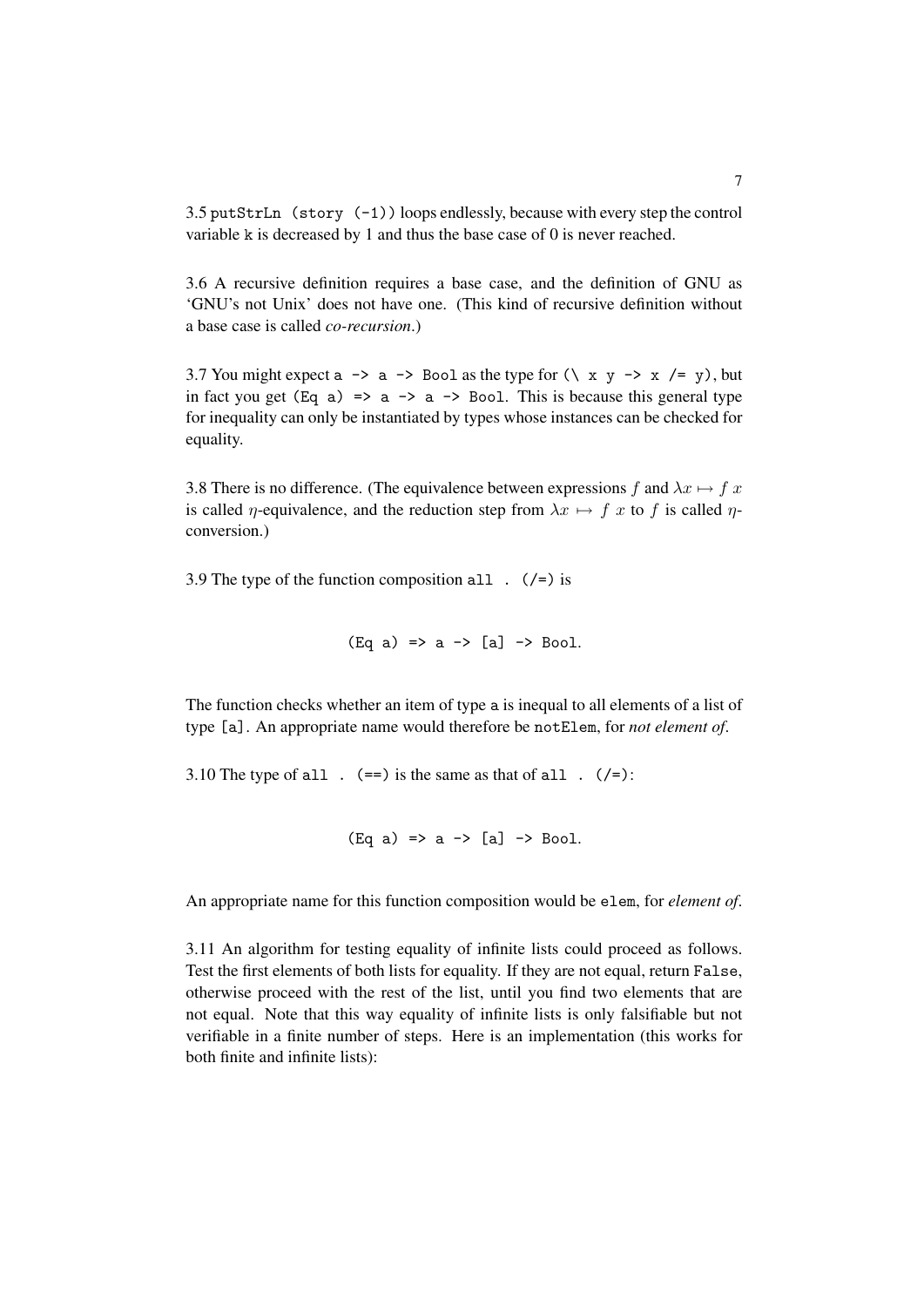3.5 putStrLn (story (-1)) loops endlessly, because with every step the control variable k is decreased by 1 and thus the base case of 0 is never reached.

3.6 A recursive definition requires a base case, and the definition of GNU as 'GNU's not Unix' does not have one. (This kind of recursive definition without a base case is called *co-recursion*.)

3.7 You might expect a  $\rightarrow$  a  $\rightarrow$  Bool as the type for  $(\xrightarrow x$  y  $\rightarrow$  x /= y), but in fact you get (Eq a)  $\Rightarrow$  a  $\rightarrow$  a  $\rightarrow$  Bool. This is because this general type for inequality can only be instantiated by types whose instances can be checked for equality.

3.8 There is no difference. (The equivalence between expressions f and  $\lambda x \mapsto f x$ is called *η*-equivalence, and the reduction step from  $\lambda x \mapsto f x$  to f is called *η*conversion.)

3.9 The type of the function composition all  $($  /=) is

```
(Eq a) \Rightarrow a \Rightarrow [a] \Rightarrow Boo1.
```
The function checks whether an item of type a is inequal to all elements of a list of type [a]. An appropriate name would therefore be notElem, for *not element of*.

3.10 The type of all  $\cdot$  (==) is the same as that of all  $\cdot$  (/=):

```
(Eq a) \Rightarrow a \Rightarrow [a] \Rightarrow Boo1.
```
An appropriate name for this function composition would be elem, for *element of*.

3.11 An algorithm for testing equality of infinite lists could proceed as follows. Test the first elements of both lists for equality. If they are not equal, return False, otherwise proceed with the rest of the list, until you find two elements that are not equal. Note that this way equality of infinite lists is only falsifiable but not verifiable in a finite number of steps. Here is an implementation (this works for both finite and infinite lists):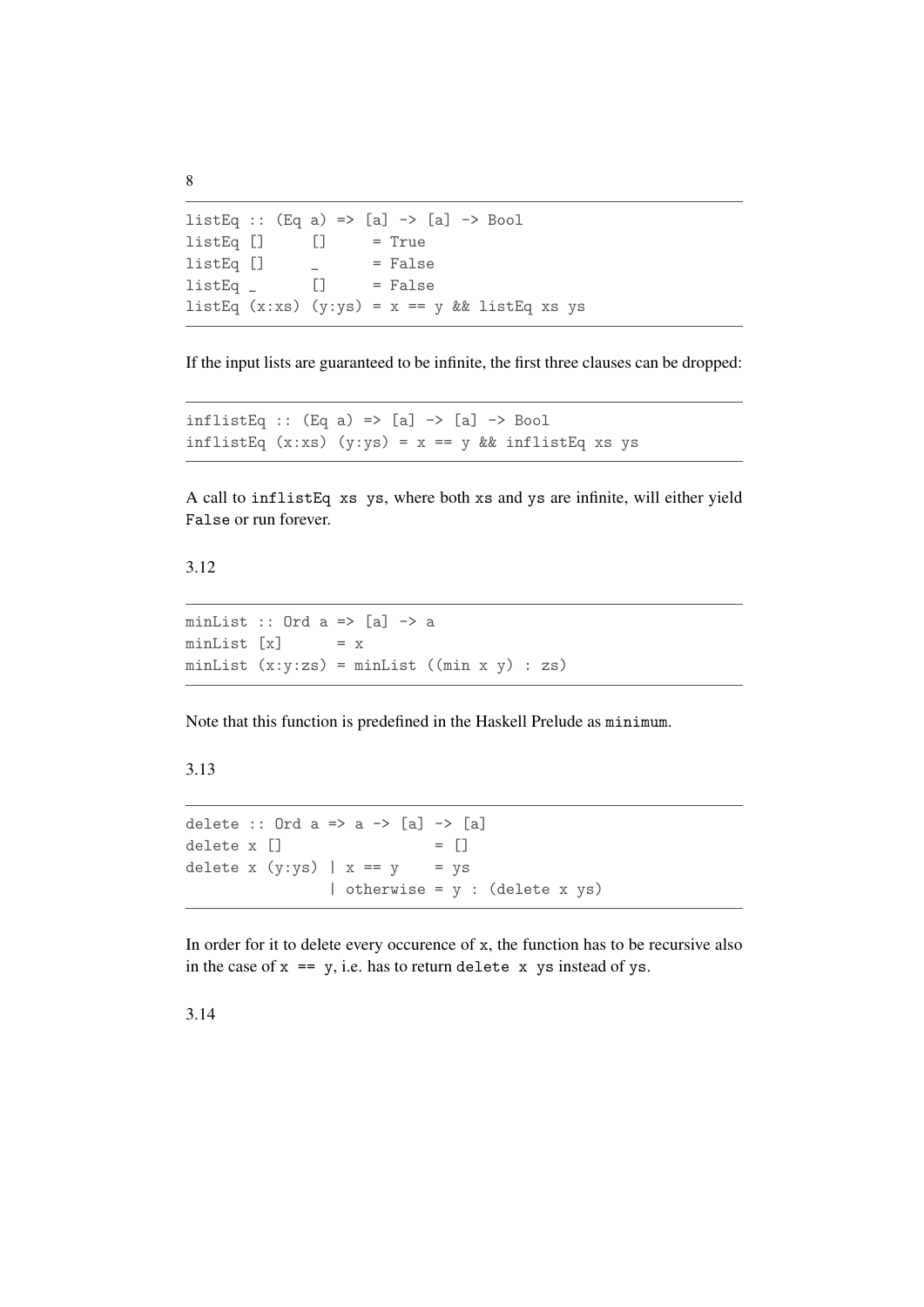```
listEq :: (Eq a) => [a] \rightarrow [a] \rightarrow BoollistEq[] [] = True
listEq [] ] = False
listEq \_ [] \_ = False
listEq (x:xs) (y:ys) = x == y && listEq xs ys
```
If the input lists are guaranteed to be infinite, the first three clauses can be dropped:

```
inflistEq :: (Eq a) \Rightarrow [a] \Rightarrow [a] \Rightarrow Bool
inflistEq (x:xs) (y:ys) = x == y && inflistEq xs ys
```
A call to inflistEq xs ys, where both xs and ys are infinite, will either yield False or run forever.

3.12

```
minList :: Ord a \Rightarrow [a] \rightarrow aminList [x] = x
minList (x:y:zs) = minList ((min x y) : zs)
```
Note that this function is predefined in the Haskell Prelude as minimum.

3.13

```
delete :: Ord a \Rightarrow a \Rightarrow [a] \Rightarrow [a]delete x \begin{bmatrix} 1 \\ 1 \end{bmatrix} = \begin{bmatrix} 1 \\ 1 \end{bmatrix}delete x (y:ys) | x == y = ys
                         | otherwise = y : (delete x ys)
```
In order for it to delete every occurence of x, the function has to be recursive also in the case of  $x == y$ , i.e. has to return delete  $x$  ys instead of ys.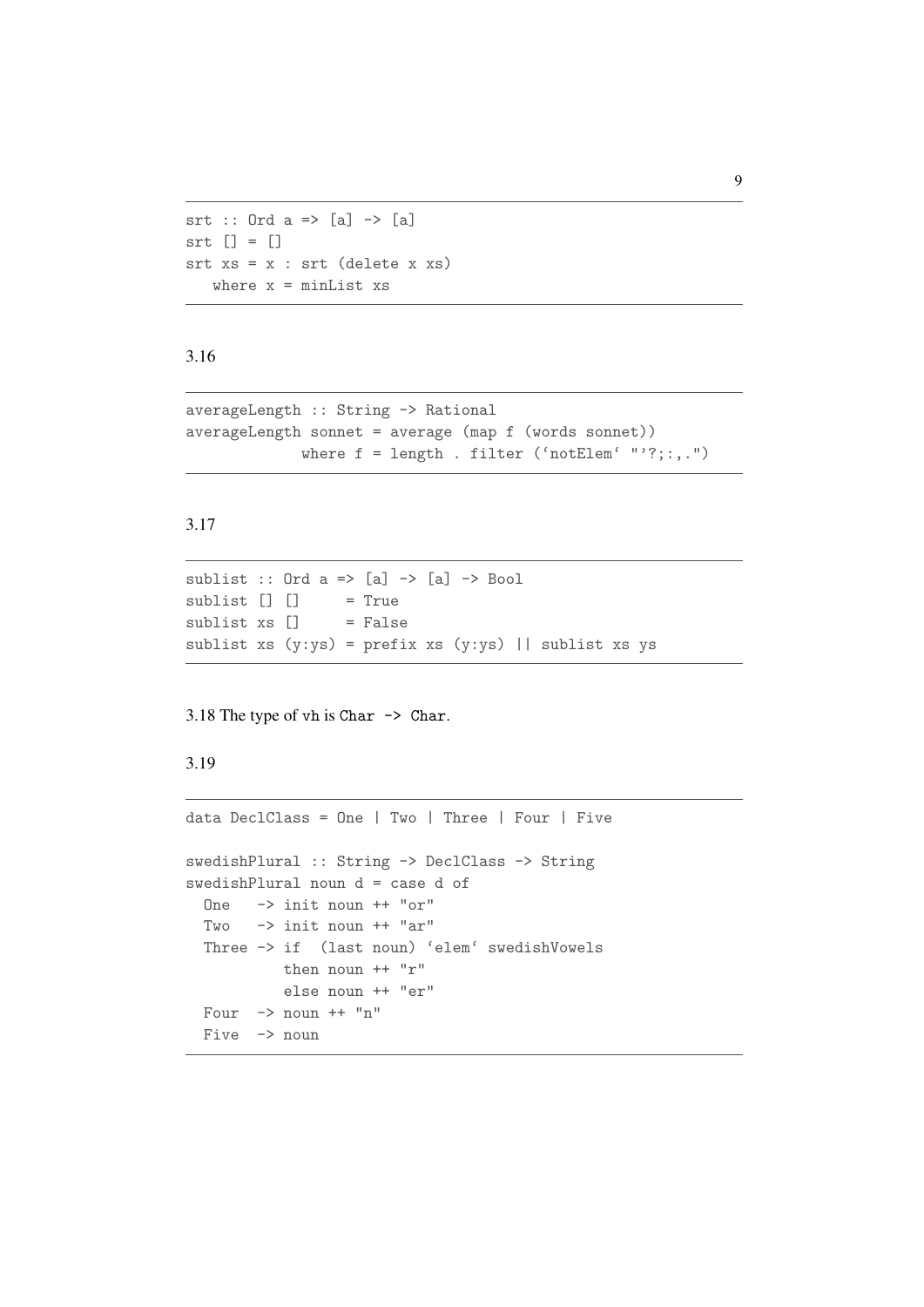```
srt :: Ord a => [a] -> [a]
\text{str} [] = []srt xs = x : srt (delete x xs)
  where x = minList xs
```

```
averageLength :: String -> Rational
averageLength sonnet = average (map f (words sonnet))
             where f = \text{length}. filter ('notElem' "'?;:,.")
```
## 3.17

```
sublist :: Ord a \Rightarrow [a] \Rightarrow [a] \Rightarrow Bool
sublist [] [] = True
sublist xs \lceil = False
sublist xs (y:ys) = prefix xs (y:ys) || sublist xs ys
```
#### 3.18 The type of vh is Char -> Char.

#### 3.19

```
data DeclClass = One | Two | Three | Four | Five
swedishPlural :: String -> DeclClass -> String
swedishPlural noun d = case d of
 One -> init noun ++ "or"
 Two \rightarrow init noun ++ "ar"
 Three -> if (last noun) 'elem' swedishVowels
           then noun ++ "r"
           else noun ++ "er"
 Four \rightarrow noun ++ "n"
 Five \rightarrow noun
```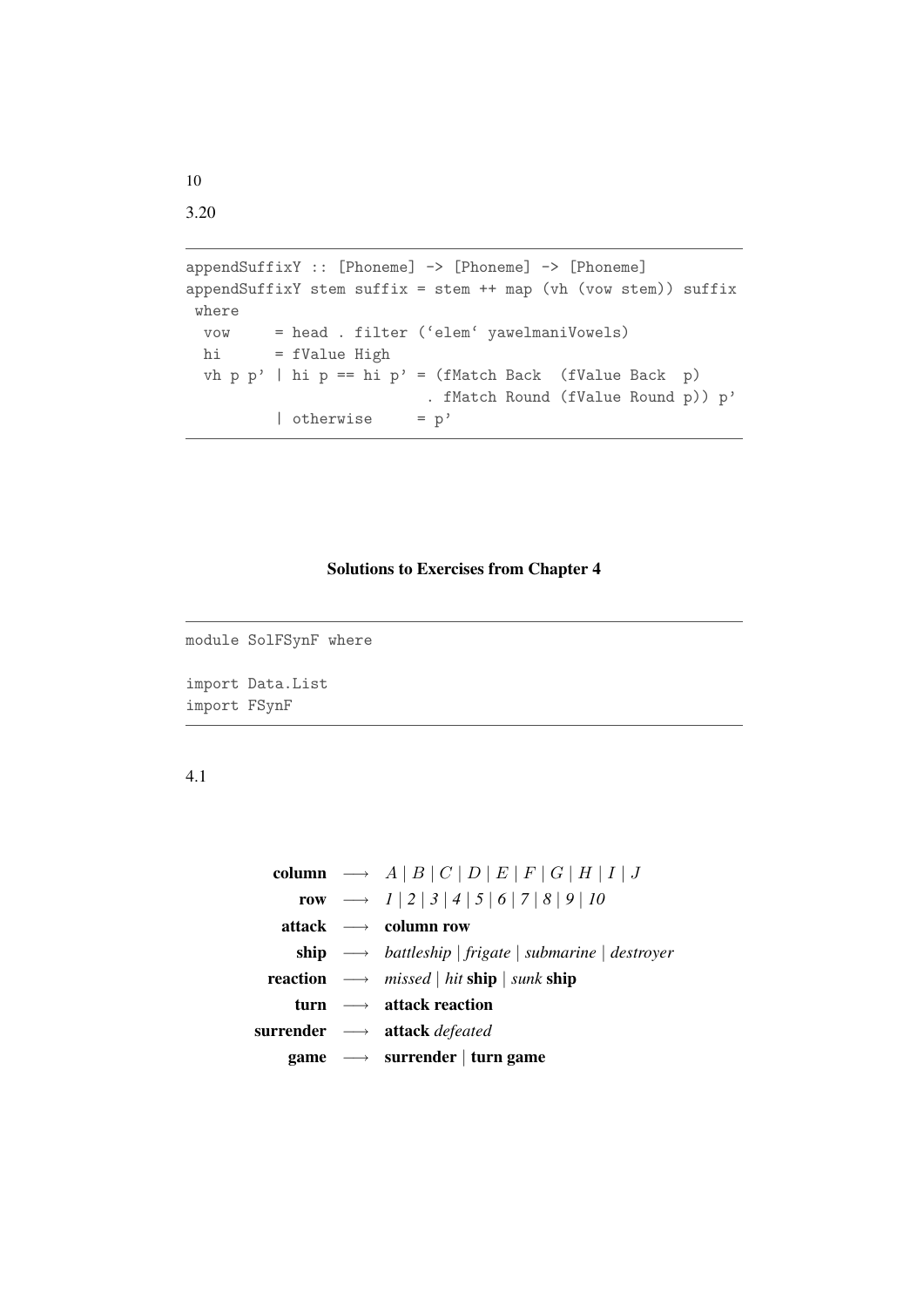```
appendSuffixY :: [Phoneme] -> [Phoneme] -> [Phoneme]
appendSuffixY stem suffix = stem ++ map (vh (vow stem)) suffix
where
 vow = head . filter ('elem' yawelmaniVowels)
 hi = fValue High
 vh p p' | hi p == hi p' = (fMatch Back (fValue Back p)
                        . fMatch Round (fValue Round p)) p'
         | otherwise = p'
```
## Solutions to Exercises from Chapter 4

```
module SolFSynF where
import Data.List
import FSynF
```
4.1

|  | column $\longrightarrow A   B   C   D   E   F   G   H   I   J$                                     |  |  |  |  |
|--|----------------------------------------------------------------------------------------------------|--|--|--|--|
|  | row $\longrightarrow$ $1   2   3   4   5   6   7   8   9   10$                                     |  |  |  |  |
|  | attack $\longrightarrow$ column row                                                                |  |  |  |  |
|  | <b>ship</b> $\longrightarrow$ battleship   frigate   submarine   destroyer                         |  |  |  |  |
|  | <b>reaction</b> $\longrightarrow$ <i>missed</i>   <i>hit</i> <b>ship</b>   <i>sunk</i> <b>ship</b> |  |  |  |  |
|  | turn $\longrightarrow$ attack reaction                                                             |  |  |  |  |
|  | surrender → attack <i>defeated</i>                                                                 |  |  |  |  |
|  | game $\longrightarrow$ surrender   turn game                                                       |  |  |  |  |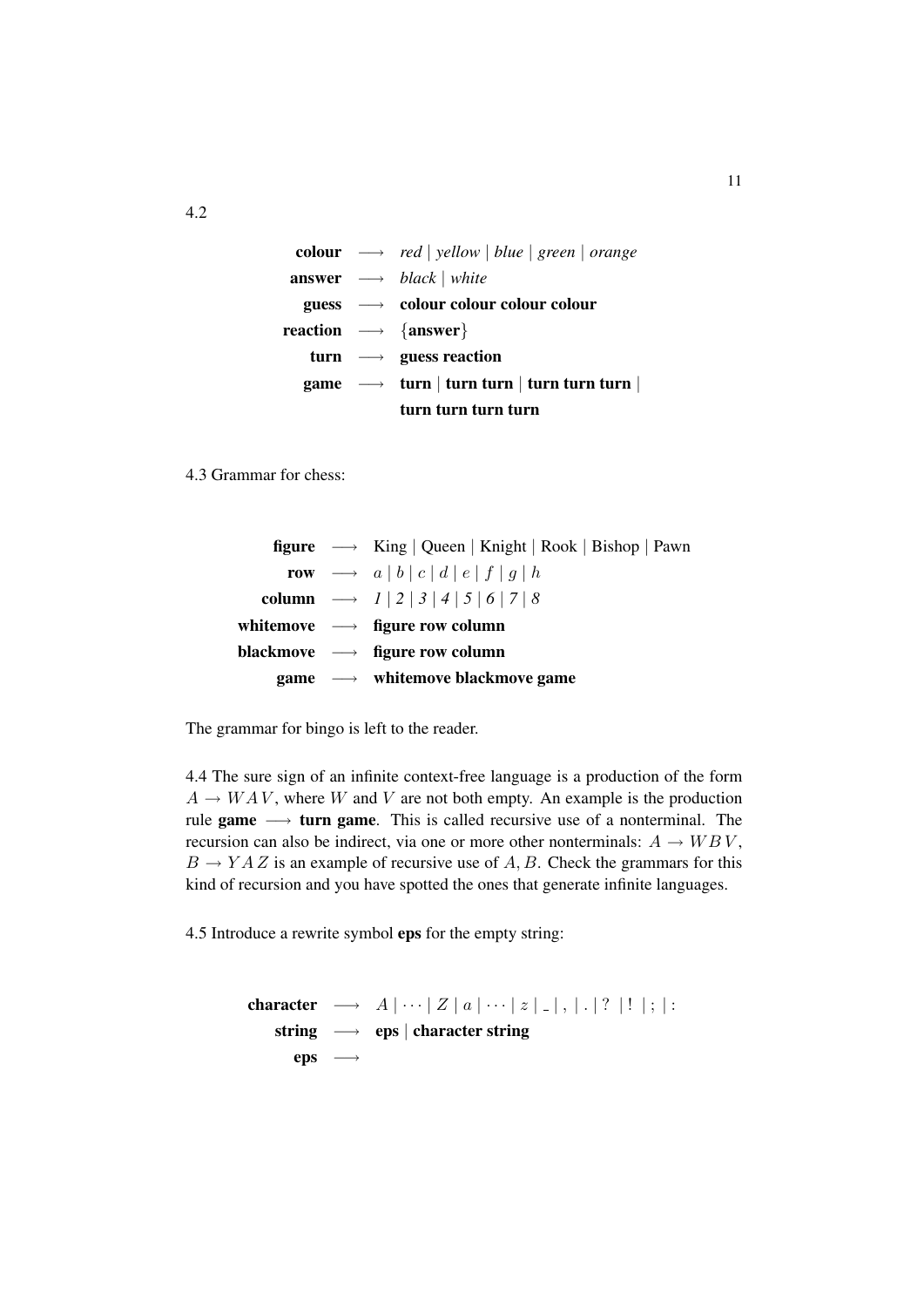colour −→ *red* | *yellow* | *blue* | *green* | *orange* answer −→ *black* | *white*  $guess \rightarrow colour colour colour colour$ reaction  $\longrightarrow$  {answer} turn  $\longrightarrow$  guess reaction game  $\rightarrow$  turn | turn turn | turn turn turn | turn turn turn turn

4.3 Grammar for chess:

|  | <b>figure</b> $\longrightarrow$ King   Queen   Knight   Rook   Bishop   Pawn |
|--|------------------------------------------------------------------------------|
|  | row $\longrightarrow$ $a   b   c   d   e   f   g   h$                        |
|  | column $\longrightarrow$ $1   2   3   4   5   6   7   8$                     |
|  | white move $\longrightarrow$ figure row column                               |
|  | blackmove $\longrightarrow$ figure row column                                |
|  | game $\longrightarrow$ white move black move game                            |

The grammar for bingo is left to the reader.

4.4 The sure sign of an infinite context-free language is a production of the form  $A \rightarrow WAV$ , where W and V are not both empty. An example is the production rule game  $\longrightarrow$  turn game. This is called recursive use of a nonterminal. The recursion can also be indirect, via one or more other nonterminals:  $A \rightarrow W B V$ ,  $B \to YAZ$  is an example of recursive use of A, B. Check the grammars for this kind of recursion and you have spotted the ones that generate infinite languages.

4.5 Introduce a rewrite symbol eps for the empty string:

character  $\longrightarrow A \cup |Z|a| \cdots |z|$ . string → eps | character string  $eps \longrightarrow$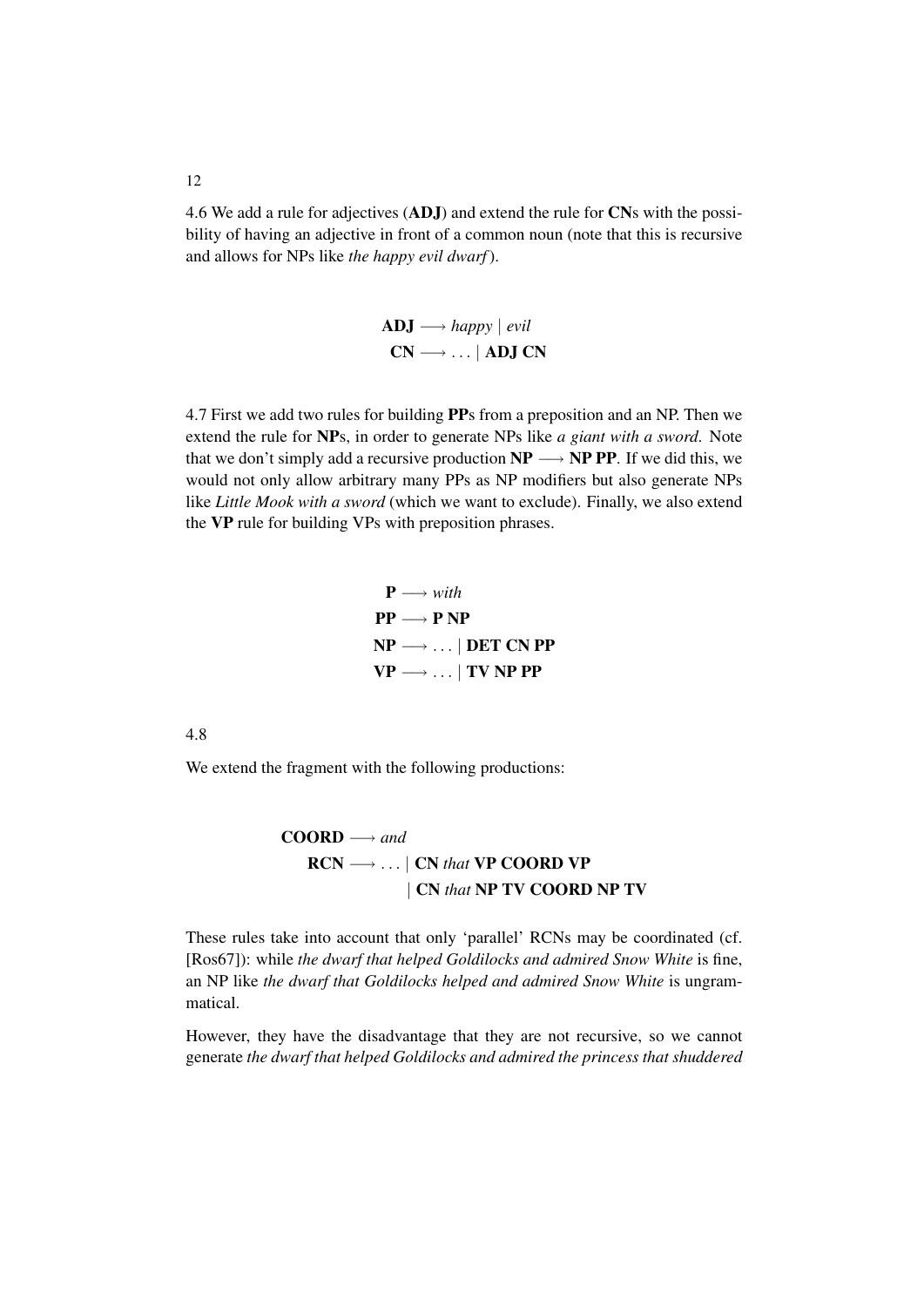4.6 We add a rule for adjectives (ADJ) and extend the rule for CNs with the possibility of having an adjective in front of a common noun (note that this is recursive and allows for NPs like *the happy evil dwarf*).

> ADJ −→ *happy* | *evil*  $CN \longrightarrow ...$  | ADJ CN

4.7 First we add two rules for building PPs from a preposition and an NP. Then we extend the rule for NPs, in order to generate NPs like *a giant with a sword*. Note that we don't simply add a recursive production  $NP \longrightarrow NP PP$ . If we did this, we would not only allow arbitrary many PPs as NP modifiers but also generate NPs like *Little Mook with a sword* (which we want to exclude). Finally, we also extend the VP rule for building VPs with preposition phrases.

> $P \longrightarrow with$  $PP \longrightarrow P NP$  $NP \longrightarrow ... | DET CN PP$  $VP \longrightarrow ... | TV NP PP$

4.8

We extend the fragment with the following productions:

 $COORD \longrightarrow and$ RCN −→ . . . | CN *that* VP COORD VP | CN *that* NP TV COORD NP TV

These rules take into account that only 'parallel' RCNs may be coordinated (cf. [Ros67]): while *the dwarf that helped Goldilocks and admired Snow White* is fine, an NP like *the dwarf that Goldilocks helped and admired Snow White* is ungrammatical.

However, they have the disadvantage that they are not recursive, so we cannot generate *the dwarf that helped Goldilocks and admired the princess that shuddered*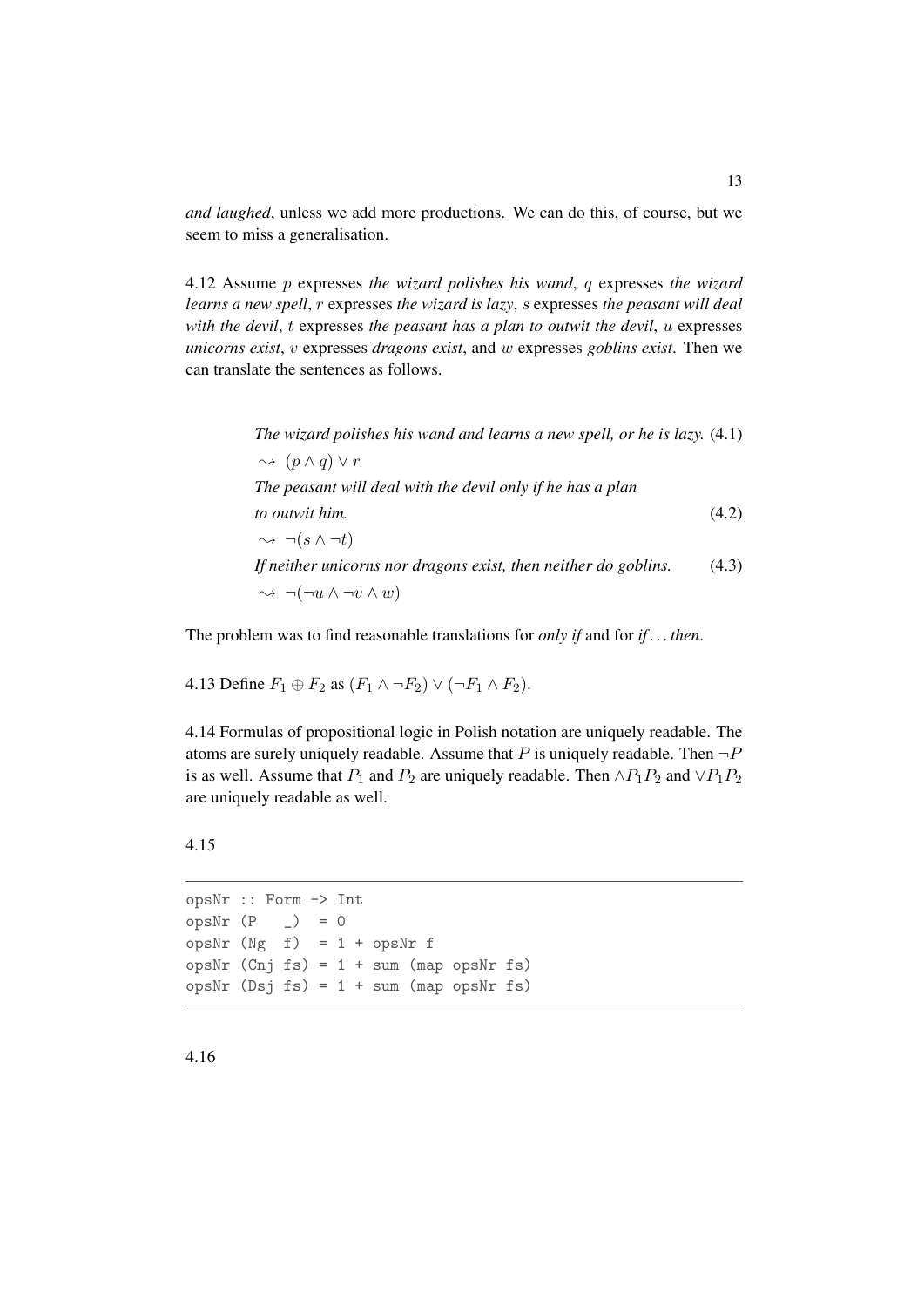*and laughed*, unless we add more productions. We can do this, of course, but we seem to miss a generalisation.

4.12 Assume p expresses *the wizard polishes his wand*, q expresses *the wizard learns a new spell*, r expresses *the wizard is lazy*, s expresses *the peasant will deal with the devil*, t expresses *the peasant has a plan to outwit the devil*, u expresses *unicorns exist*, v expresses *dragons exist*, and w expresses *goblins exist*. Then we can translate the sentences as follows.

> *The wizard polishes his wand and learns a new spell, or he is lazy.* (4.1)  $\rightsquigarrow$   $(p \wedge q) \vee r$ *The peasant will deal with the devil only if he has a plan to outwit him.* (4.2)  $\rightarrow \neg(s \wedge \neg t)$ *If neither unicorns nor dragons exist, then neither do goblins.* (4.3)  $\rightsquigarrow \neg(\neg u \wedge \neg v \wedge w)$

The problem was to find reasonable translations for *only if* and for *if . . . then*.

4.13 Define  $F_1 \oplus F_2$  as  $(F_1 \wedge \neg F_2) \vee (\neg F_1 \wedge F_2)$ .

4.14 Formulas of propositional logic in Polish notation are uniquely readable. The atoms are surely uniquely readable. Assume that P is uniquely readable. Then  $\neg P$ is as well. Assume that  $P_1$  and  $P_2$  are uniquely readable. Then  $\land P_1P_2$  and  $\lor P_1P_2$ are uniquely readable as well.

```
opsNr :: Form -> Int
opsNr(P_+) = 0opsNr (Ng f) = 1 + opsNr f
opsNr (Cn j fs) = 1 + sum (map opsNr fs)opsNr (Dsj fs) = 1 + sum (map opsNr fs)
```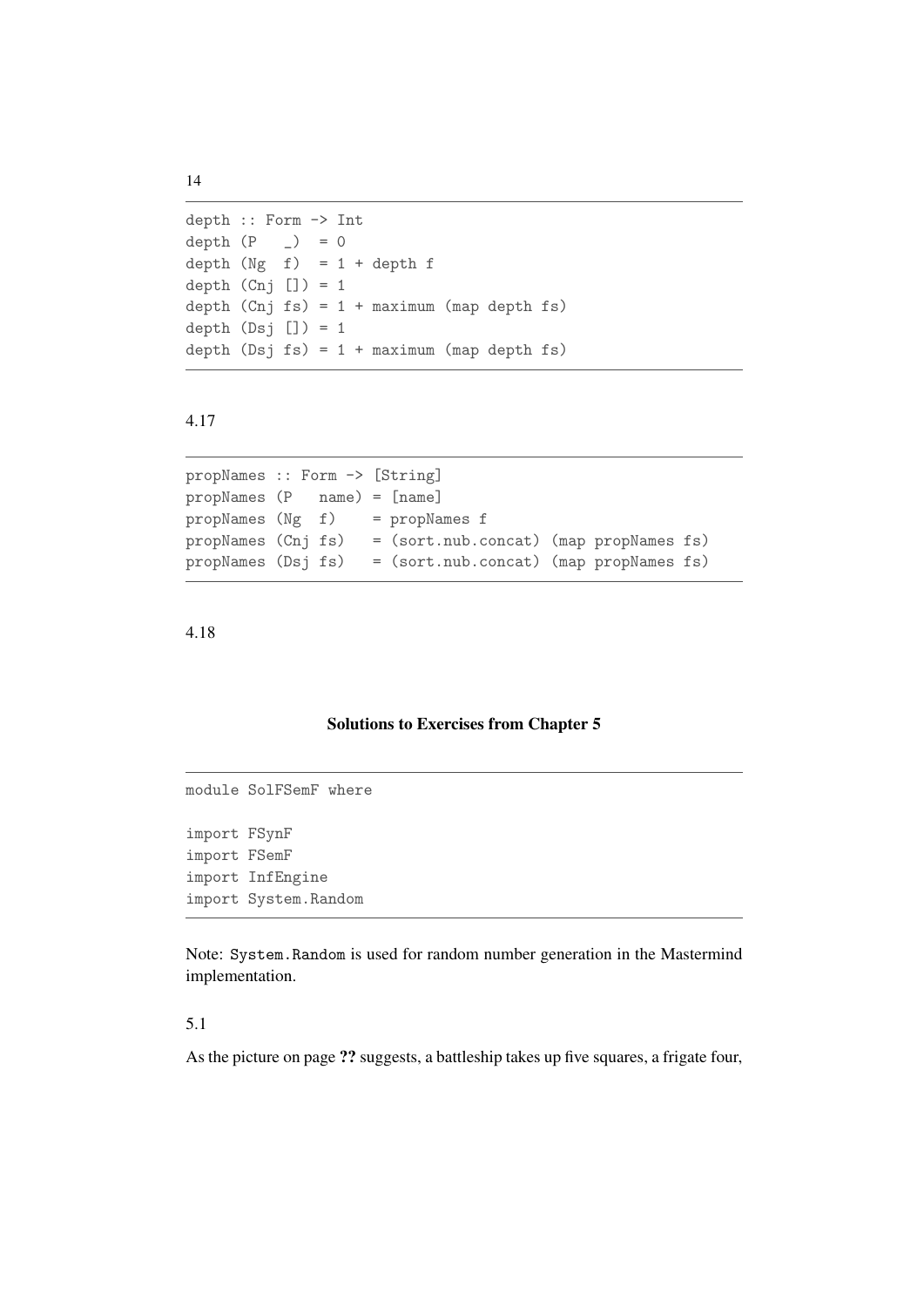```
depth :: Form -> Int
depth (P \t= ) = 0depth (Ng f) = 1 + depth fdepth (Cnj ]) = 1depth (Cnj fs) = 1 + maximum (map depth fs)depth (Dsj []) = 1depth (Dsj fs) = 1 + maximum (map depth fs)
```

```
propNames :: Form -> [String]
propNames (P name) = [name]
propNames (Ng f) = propNames f
propNames (Cnj fs) = (sort.nub.concat) (map propNames fs)
propNames (Dsj fs) = (sort.nub.concat) (map propNames fs)
```
#### 4.18

#### Solutions to Exercises from Chapter 5

```
module SolFSemF where
import FSynF
import FSemF
import InfEngine
import System.Random
```
Note: System.Random is used for random number generation in the Mastermind implementation.

## 5.1

As the picture on page ?? suggests, a battleship takes up five squares, a frigate four,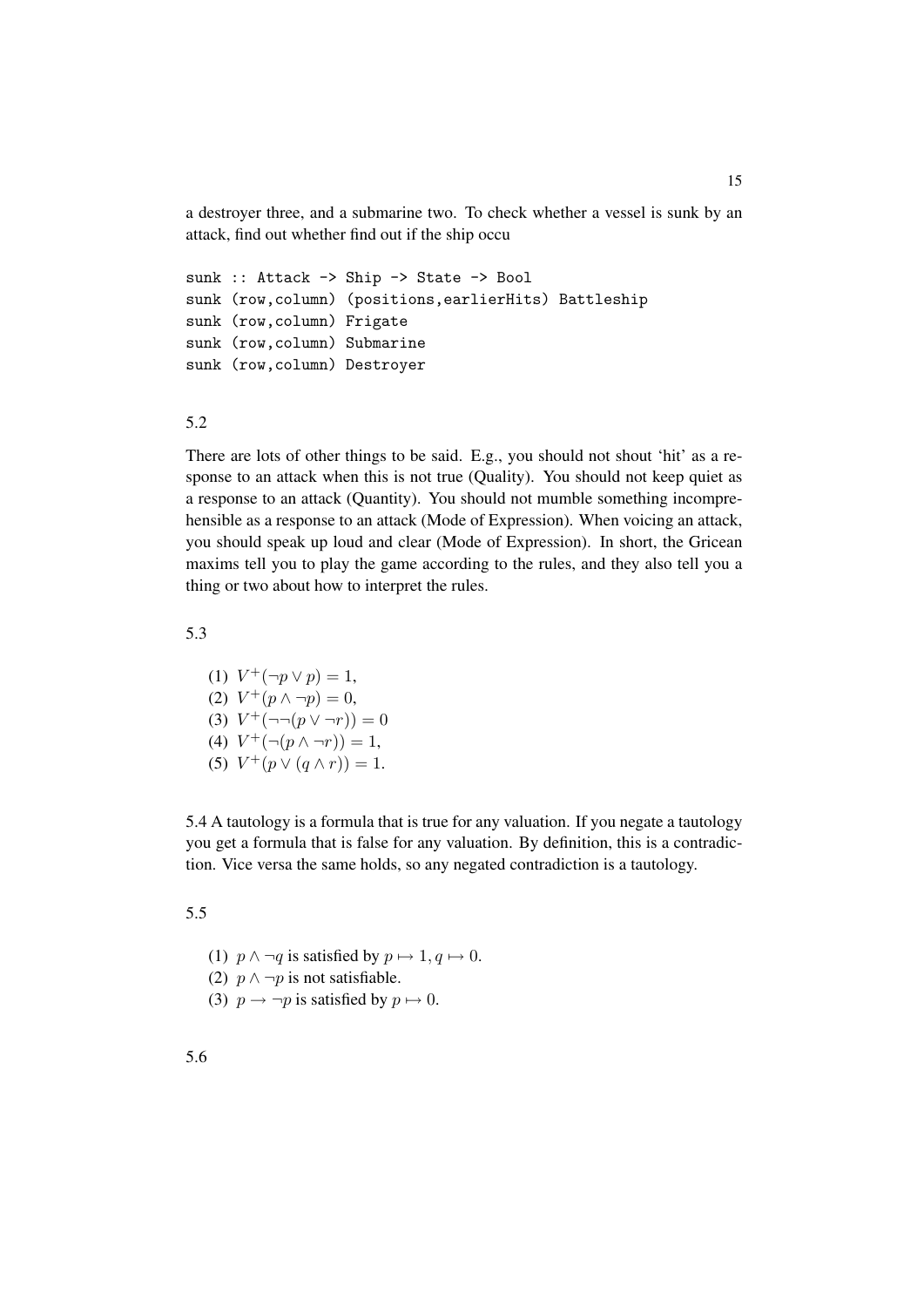a destroyer three, and a submarine two. To check whether a vessel is sunk by an attack, find out whether find out if the ship occu

```
sunk :: Attack -> Ship -> State -> Bool
sunk (row,column) (positions,earlierHits) Battleship
sunk (row,column) Frigate
sunk (row,column) Submarine
sunk (row,column) Destroyer
```
#### 5.2

There are lots of other things to be said. E.g., you should not shout 'hit' as a response to an attack when this is not true (Quality). You should not keep quiet as a response to an attack (Quantity). You should not mumble something incomprehensible as a response to an attack (Mode of Expression). When voicing an attack, you should speak up loud and clear (Mode of Expression). In short, the Gricean maxims tell you to play the game according to the rules, and they also tell you a thing or two about how to interpret the rules.

5.3

(1)  $V^+(\neg p \vee p) = 1$ , (2)  $V^+(p \wedge \neg p) = 0$ , (3)  $V^+(-\neg(p \vee \neg r)) = 0$ (4)  $V^+(- (p \wedge \neg r)) = 1$ , (5)  $V^+(p \vee (q \wedge r)) = 1.$ 

5.4 A tautology is a formula that is true for any valuation. If you negate a tautology you get a formula that is false for any valuation. By definition, this is a contradiction. Vice versa the same holds, so any negated contradiction is a tautology.

- (1)  $p \wedge \neg q$  is satisfied by  $p \mapsto 1, q \mapsto 0$ .
- (2)  $p \wedge \neg p$  is not satisfiable.
- (3)  $p \rightarrow \neg p$  is satisfied by  $p \mapsto 0$ .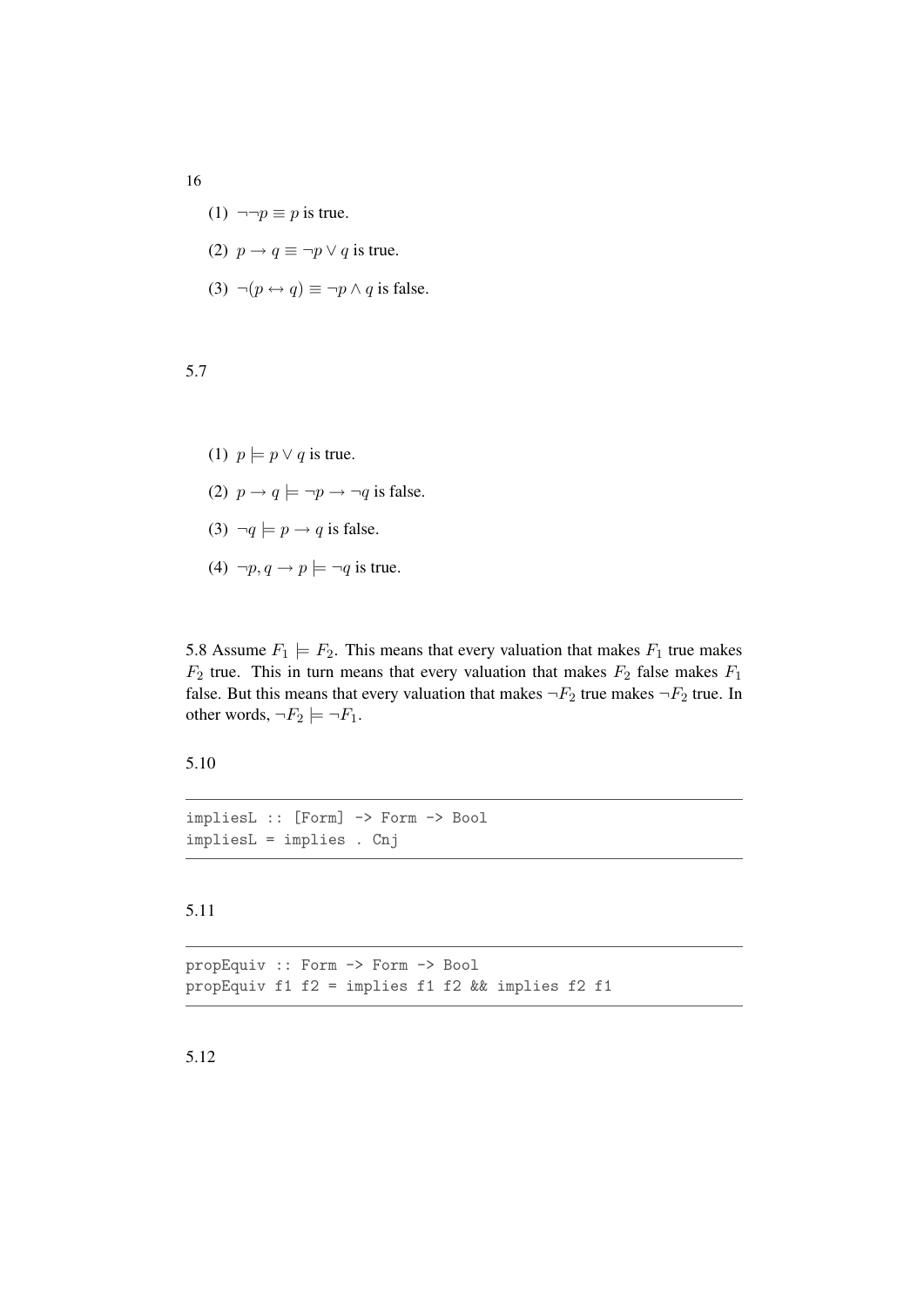- (1)  $\neg\neg p \equiv p$  is true.
- (2)  $p \rightarrow q \equiv \neg p \lor q$  is true.
- (3)  $\neg(p \leftrightarrow q) \equiv \neg p \land q$  is false.

- (1)  $p \models p \lor q$  is true.
- (2)  $p \rightarrow q \models \neg p \rightarrow \neg q$  is false.
- (3)  $\neg q \models p \rightarrow q$  is false.
- (4)  $\neg p, q \rightarrow p \models \neg q$  is true.

5.8 Assume  $F_1 \models F_2$ . This means that every valuation that makes  $F_1$  true makes  $F_2$  true. This in turn means that every valuation that makes  $F_2$  false makes  $F_1$ false. But this means that every valuation that makes  $\neg F_2$  true makes  $\neg F_2$  true. In other words,  $\neg F_2 \models \neg F_1$ .

5.10

impliesL :: [Form] -> Form -> Bool impliesL = implies . Cnj

## 5.11

propEquiv :: Form -> Form -> Bool propEquiv f1 f2 = implies f1 f2 && implies f2 f1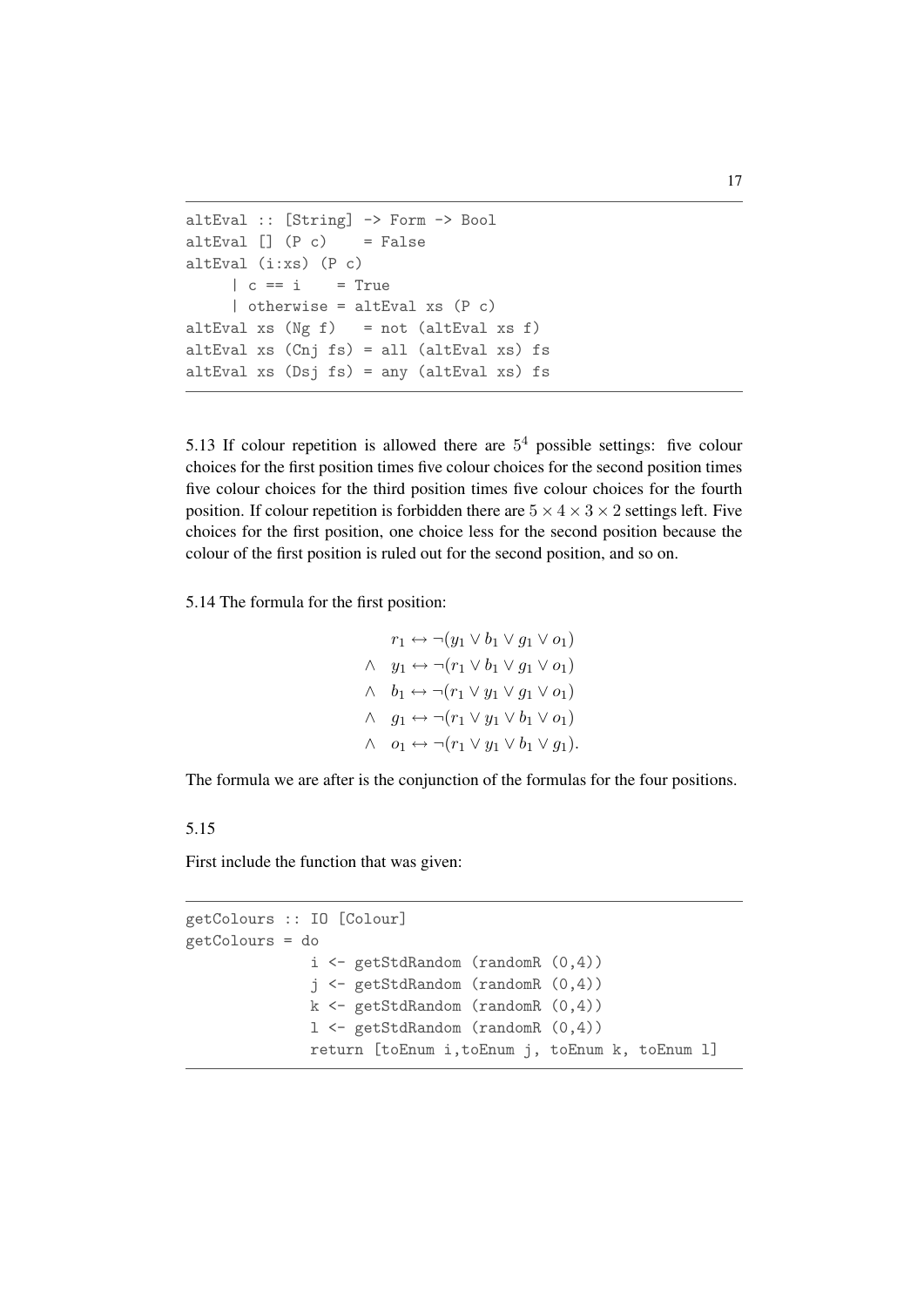```
altEval :: [String] -> Form -> Bool
altEval [] (P c) = FalsealtEval (i:xs) (P c)
     | c == i = True| otherwise = altEval xs (P c)
altEval xs (Ng f) = not (altEval xs f)
altEval xs (Cnj fs) = all (altEval xs) fs
altEval xs (Dsj fs) = any (altEval xs) fs
```
5.13 If colour repetition is allowed there are  $5<sup>4</sup>$  possible settings: five colour choices for the first position times five colour choices for the second position times five colour choices for the third position times five colour choices for the fourth position. If colour repetition is forbidden there are  $5 \times 4 \times 3 \times 2$  settings left. Five choices for the first position, one choice less for the second position because the colour of the first position is ruled out for the second position, and so on.

5.14 The formula for the first position:

 $r_1 \leftrightarrow \neg(y_1 \vee b_1 \vee q_1 \vee o_1)$  $\wedge \quad y_1 \leftrightarrow \neg(r_1 \vee b_1 \vee g_1 \vee o_1)$  $\wedge \quad b_1 \leftrightarrow \neg(r_1 \vee y_1 \vee q_1 \vee o_1)$  $\wedge \quad q_1 \leftrightarrow \neg (r_1 \vee y_1 \vee b_1 \vee o_1)$  $\wedge \quad o_1 \leftrightarrow \neg (r_1 \vee y_1 \vee b_1 \vee g_1).$ 

The formula we are after is the conjunction of the formulas for the four positions.

5.15

First include the function that was given:

```
getColours :: IO [Colour]
getColours = do
              i <- getStdRandom (randomR (0,4))
              j <- getStdRandom (randomR (0,4))
              k \leq getStdRandom (randomR (0,4))
              l <- getStdRandom (randomR (0,4))
              return [toEnum i,toEnum j, toEnum k, toEnum l]
```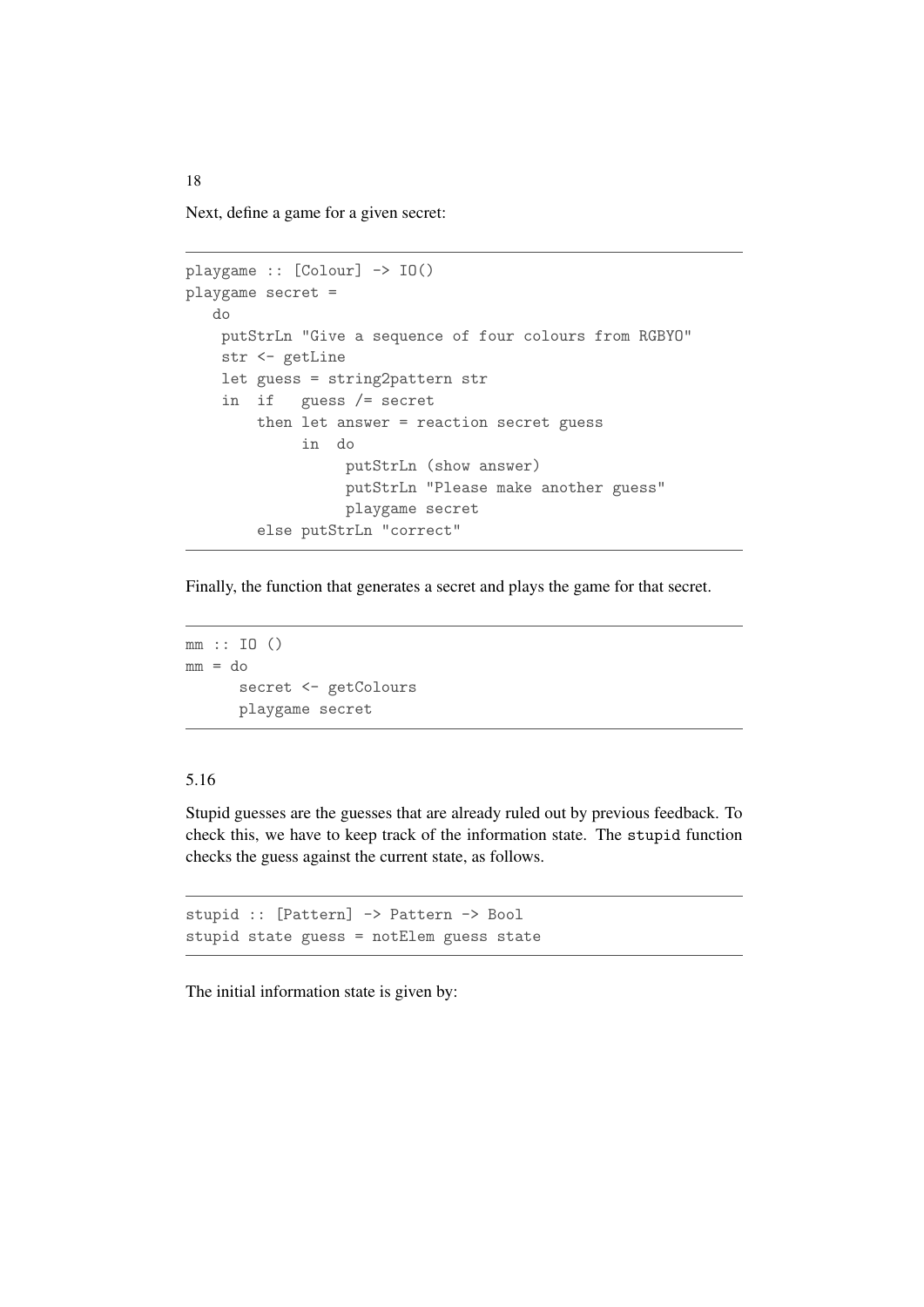Next, define a game for a given secret:

```
playgame :: [Colour] -> IO()
playgame secret =
  do
   putStrLn "Give a sequence of four colours from RGBYO"
   str <- getLine
   let guess = string2pattern str
    in if guess /= secret
       then let answer = reaction secret guess
             in do
                 putStrLn (show answer)
                  putStrLn "Please make another guess"
                  playgame secret
        else putStrLn "correct"
```
Finally, the function that generates a secret and plays the game for that secret.

```
mm :: IO ()
mm = dosecret <- getColours
      playgame secret
```
## 5.16

Stupid guesses are the guesses that are already ruled out by previous feedback. To check this, we have to keep track of the information state. The stupid function checks the guess against the current state, as follows.

```
stupid :: [Pattern] -> Pattern -> Bool
stupid state guess = notElem guess state
```
The initial information state is given by: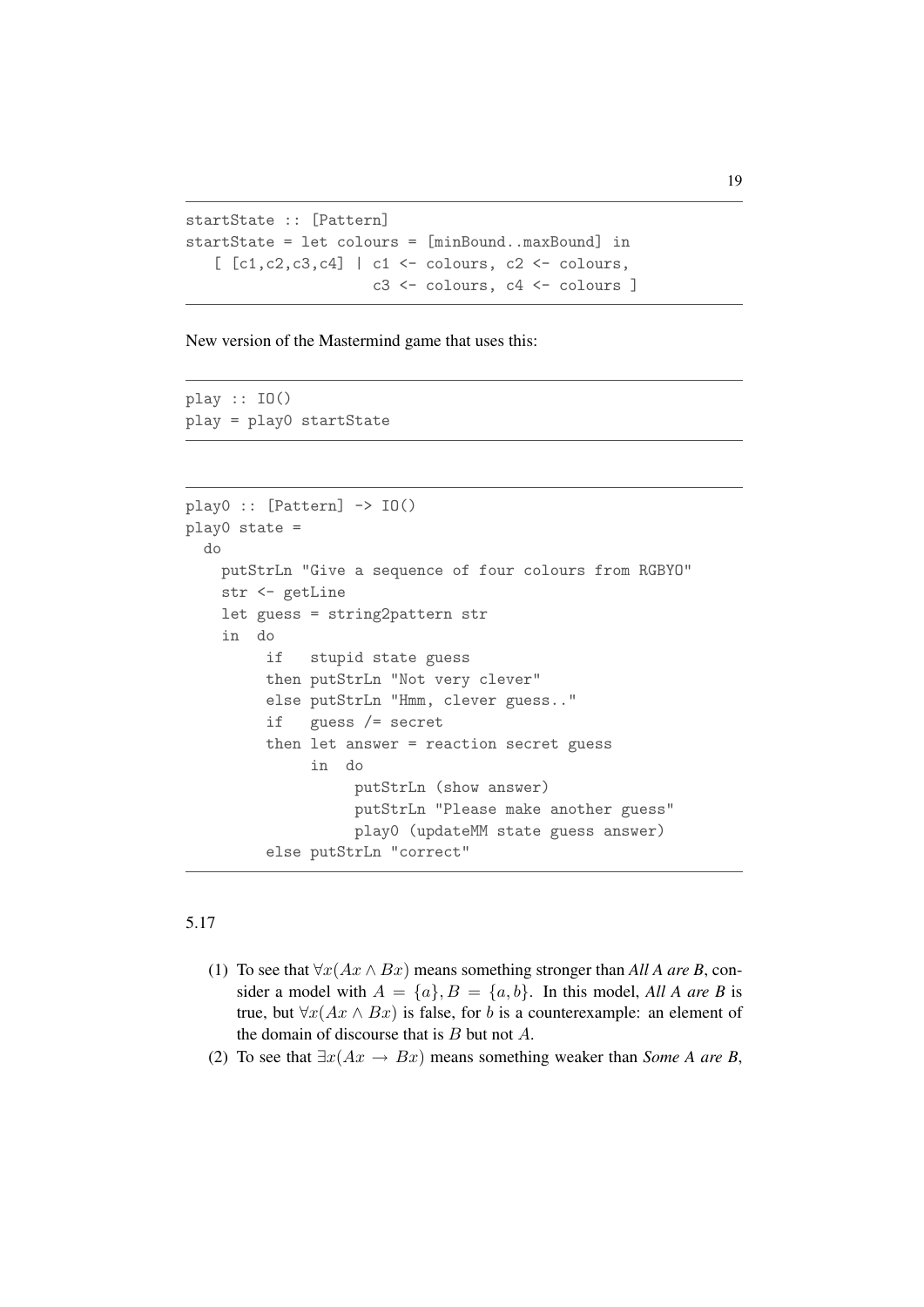```
startState :: [Pattern]
startState = let colours = [minBound..maxBound] in
   [ [c1, c2, c3, c4] | c1 \leftarrow colours, c2 \leftarrow colours,c3 <- colours, c4 <- colours ]
```
New version of the Mastermind game that uses this:

play :: IO() play = play0 startState

```
play0 :: [Pattern] \rightarrow IO()play0 state =
  do
    putStrLn "Give a sequence of four colours from RGBYO"
    str <- getLine
    let guess = string2pattern str
    in do
         if stupid state guess
         then putStrLn "Not very clever"
         else putStrLn "Hmm, clever guess.."
         if guess /= secret
         then let answer = reaction secret guess
              in do
                   putStrLn (show answer)
                   putStrLn "Please make another guess"
                   play0 (updateMM state guess answer)
         else putStrLn "correct"
```
- (1) To see that  $\forall x (Ax \wedge Bx)$  means something stronger than *All A are B*, consider a model with  $A = \{a\}, B = \{a, b\}.$  In this model, *All A are B* is true, but  $\forall x (Ax \wedge Bx)$  is false, for b is a counterexample: an element of the domain of discourse that is  $B$  but not  $A$ .
- (2) To see that  $\exists x (Ax \rightarrow Bx)$  means something weaker than *Some A are B*,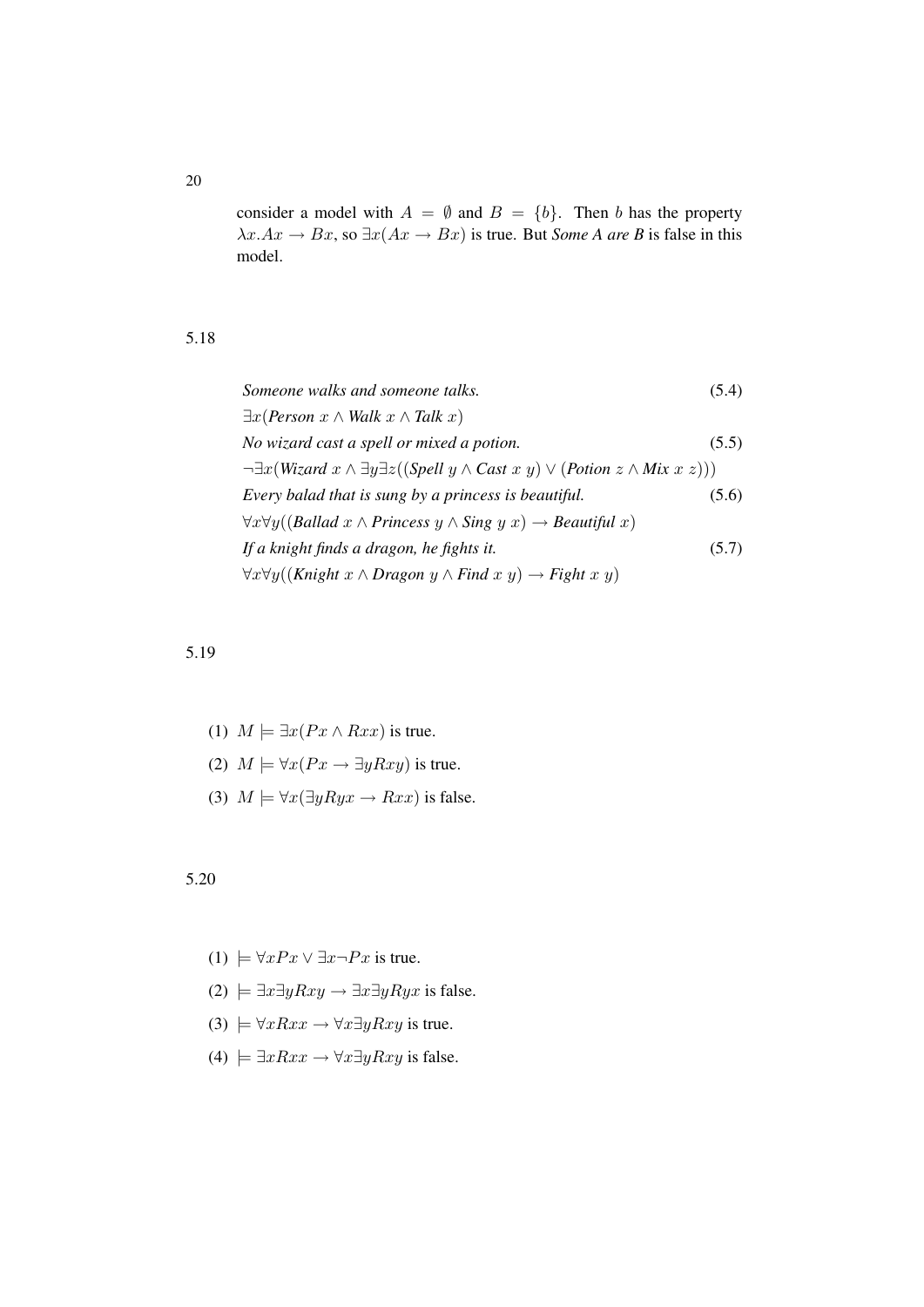consider a model with  $A = \emptyset$  and  $B = \{b\}$ . Then b has the property  $\lambda x.Ax \rightarrow Bx$ , so  $\exists x (Ax \rightarrow Bx)$  is true. But *Some A are B* is false in this model.

#### 5.18

| Someone walks and someone talks.                                                                                             | (5.4) |
|------------------------------------------------------------------------------------------------------------------------------|-------|
| $\exists x (Person x \land Walk x \land \textit{Talk } x)$                                                                   |       |
| No wizard cast a spell or mixed a potion.                                                                                    | (5.5) |
| $\neg \exists x (Wizard \ x \land \exists y \exists z ((Spell \ y \land Cast \ x \ y) \lor (Potion \ z \land Mix \ x \ z)))$ |       |
| Every balad that is sung by a princess is beautiful.                                                                         | (5.6) |
| $\forall x \forall y ((Ballad x \land Princess y \land Sing y x) \rightarrow Beautiful x)$                                   |       |
| If a knight finds a dragon, he fights it.                                                                                    | (5.7) |
| $\forall x \forall y ((\text{Knight } x \land \text{Dragon } y \land \text{Find } x y) \rightarrow \text{Right } x y)$       |       |

#### 5.19

- (1)  $M \models \exists x (Px \land Rxx)$  is true.
- (2)  $M \models \forall x (Px \rightarrow \exists y Rxy)$  is true.
- (3)  $M \models \forall x (\exists y Ryx \rightarrow Rxx)$  is false.

#### 5.20

- (1)  $\models \forall x Px \lor \exists x \neg Px$  is true.
- (2)  $\models \exists x \exists y Rxy \rightarrow \exists x \exists y Ryx$  is false.
- (3)  $\models \forall x Rxx \rightarrow \forall x \exists y Rxy$  is true.
- (4)  $\models \exists x Rxx \rightarrow \forall x \exists y Rxy$  is false.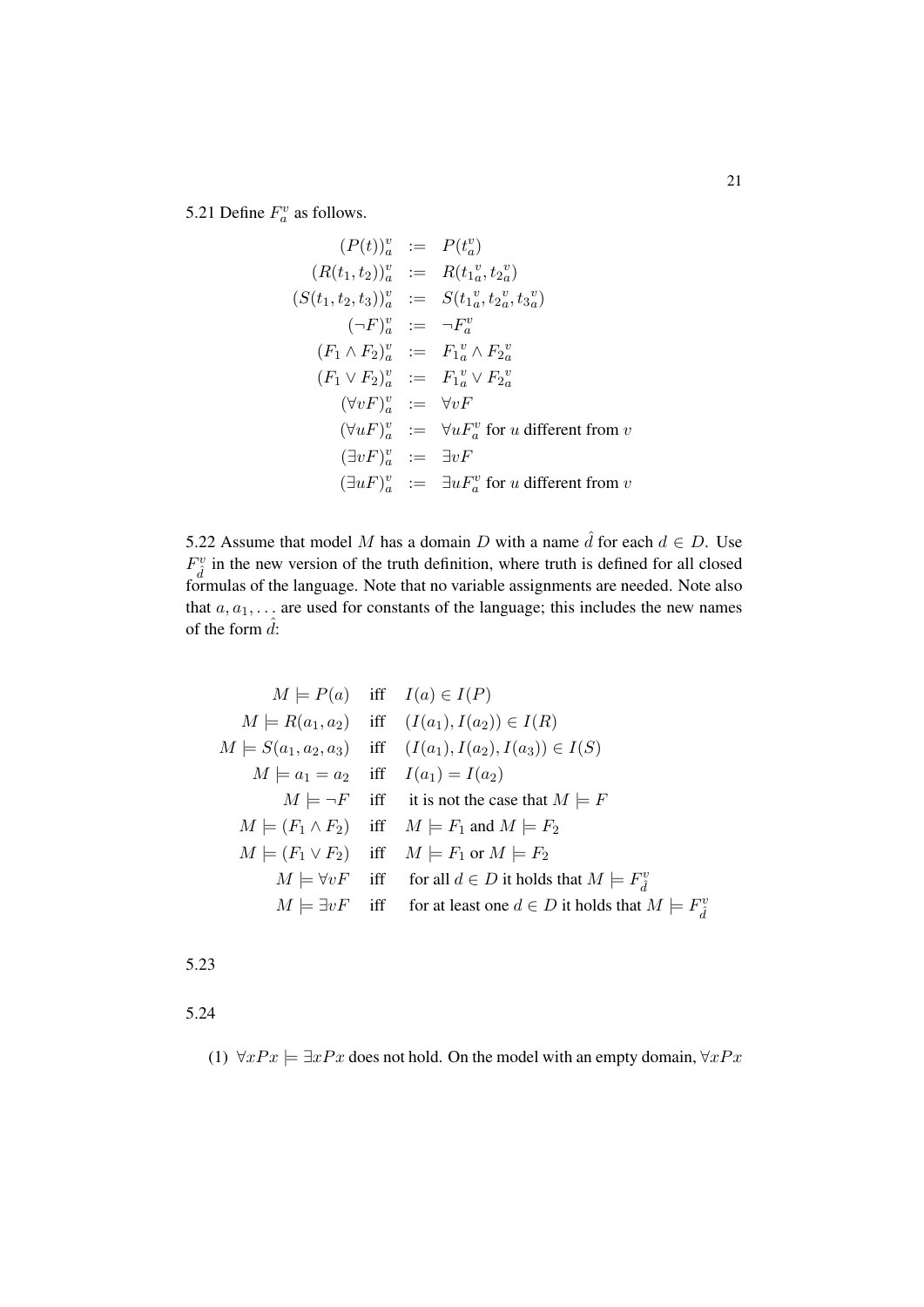5.21 Define  $F_a^v$  as follows.

$$
(P(t))_a^v := P(t_a^v)
$$
  
\n
$$
(R(t_1, t_2))_a^v := R(t_1^v, t_2^v)
$$
  
\n
$$
(S(t_1, t_2, t_3))_a^v := S(t_1^v, t_2^v, t_3^v)
$$
  
\n
$$
(\neg F)_a^v := \neg F_a^v
$$
  
\n
$$
(F_1 \wedge F_2)_a^v := F_1^v \wedge F_2^v
$$
  
\n
$$
(F_1 \vee F_2)_a^v := F_1^v \vee F_2^v
$$
  
\n
$$
(\forall vF)_a^v := \forall vF
$$
  
\n
$$
(\forall uF)_a^v := \forall uF_a^v \text{ for } u \text{ different from } v
$$
  
\n
$$
(\exists vF)_a^v := \exists vF
$$
  
\n
$$
(\exists uF)_a^v := \exists uF_a^v \text{ for } u \text{ different from } v
$$

5.22 Assume that model M has a domain D with a name  $\hat{d}$  for each  $d \in D$ . Use  $F_d^v$  in the new version of the truth definition, where truth is defined for all closed formulas of the language. Note that no variable assignments are needed. Note also that  $a, a_1, \ldots$  are used for constants of the language; this includes the new names of the form  $\hat{d}$ :

$$
M \models P(a) \quad \text{iff} \quad I(a) \in I(P)
$$
\n
$$
M \models R(a_1, a_2) \quad \text{iff} \quad (I(a_1), I(a_2)) \in I(R)
$$
\n
$$
M \models S(a_1, a_2, a_3) \quad \text{iff} \quad (I(a_1), I(a_2), I(a_3)) \in I(S)
$$
\n
$$
M \models a_1 = a_2 \quad \text{iff} \quad I(a_1) = I(a_2)
$$
\n
$$
M \models \neg F \quad \text{iff} \quad \text{it is not the case that } M \models F
$$
\n
$$
M \models (F_1 \land F_2) \quad \text{iff} \quad M \models F_1 \text{ and } M \models F_2
$$
\n
$$
M \models (F_1 \lor F_2) \quad \text{iff} \quad M \models F_1 \text{ or } M \models F_2
$$
\n
$$
M \models \forall vF \quad \text{iff} \quad \text{for all } d \in D \text{ it holds that } M \models F_d^v
$$
\n
$$
M \models \exists vF \quad \text{iff} \quad \text{for at least one } d \in D \text{ it holds that } M \models F_d^v
$$

5.23

5.24

(1)  $\forall x Px \models \exists x Px$  does not hold. On the model with an empty domain,  $\forall x Px$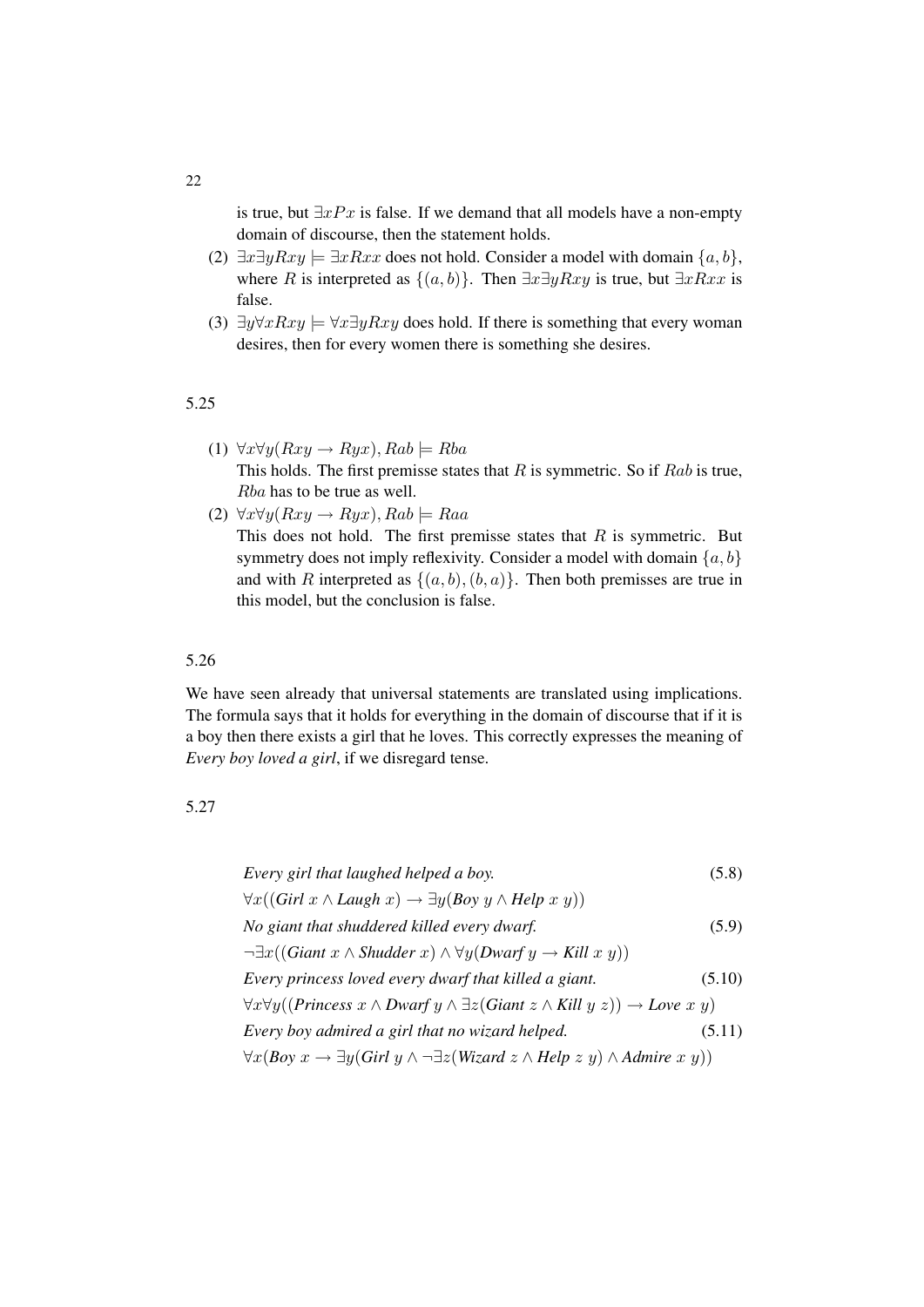is true, but  $\exists xPx$  is false. If we demand that all models have a non-empty domain of discourse, then the statement holds.

- (2)  $\exists x \exists y Rxy \models \exists x Rxx$  does not hold. Consider a model with domain  $\{a, b\}$ , where R is interpreted as  $\{(a, b)\}$ . Then  $\exists x \exists y Rxy$  is true, but  $\exists x Rxx$  is false.
- (3)  $\exists y \forall x Rxy \models \forall x \exists y Rxy$  does hold. If there is something that every woman desires, then for every women there is something she desires.

#### 5.25

- (1)  $\forall x \forall y (Rxy \rightarrow Ryx), Rab \models Rba$ This holds. The first premisse states that  $R$  is symmetric. So if  $Rab$  is true, Rba has to be true as well.
- (2)  $\forall x \forall y (Rxy \rightarrow Ryx), Rab \models Raa$ This does not hold. The first premisse states that  $R$  is symmetric. But symmetry does not imply reflexivity. Consider a model with domain  $\{a, b\}$ and with R interpreted as  $\{(a, b), (b, a)\}.$  Then both premisses are true in this model, but the conclusion is false.

## 5.26

We have seen already that universal statements are translated using implications. The formula says that it holds for everything in the domain of discourse that if it is a boy then there exists a girl that he loves. This correctly expresses the meaning of *Every boy loved a girl*, if we disregard tense.

#### 5.27

Every girl that laughed helped a boy. 
$$
(5.8)
$$
\n $\forall x((Girl \ x \land Laugh \ x) \rightarrow \exists y(Boy \ y \land Help \ x \ y))$ \nNo giant that shaded killed every dwarf.  $(5.9)$ \n $\neg \exists x((Giant \ x \land Shudder \ x) \land \forall y(Dwarf \ y \rightarrow Kill \ x \ y))$ \nEvery princes *loved every dwarf that killed a giant.*  $(5.10)$ \n $\forall x \forall y((Priness \ x \land Dwarf \ y \land \exists z(Giant \ z \land Kill \ y \ z)) \rightarrow Love \ x \ y)$ \nEvery boy admired a girl that no wizard helped.  $(5.11)$ \n $\forall x(Boy \ x \rightarrow \exists y(Girl \ y \land \neg \exists z(Wizard \ z \land Help \ z \ y) \land Admire \ x \ y))$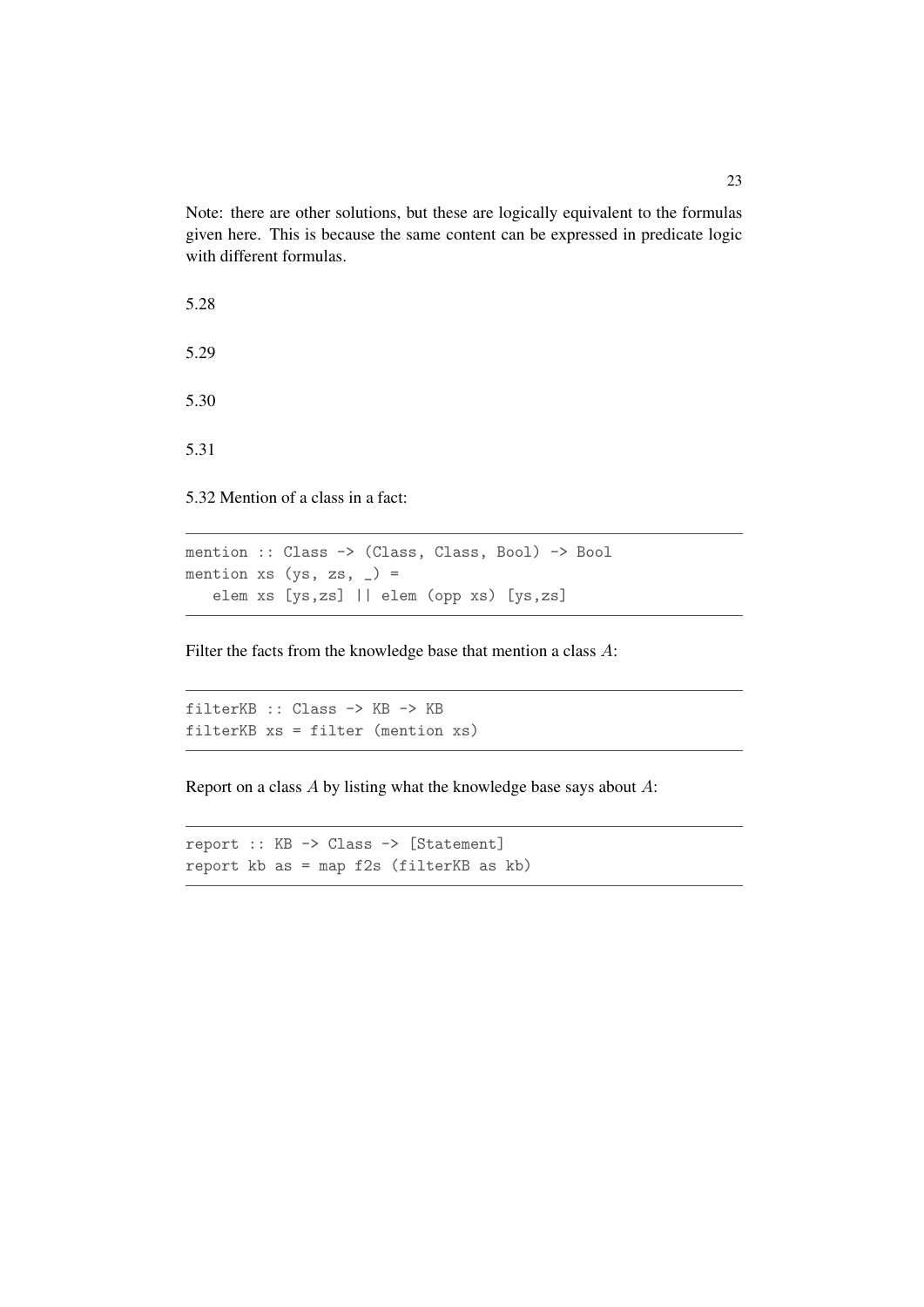Note: there are other solutions, but these are logically equivalent to the formulas given here. This is because the same content can be expressed in predicate logic with different formulas.

5.28 5.29 5.30

5.31

5.32 Mention of a class in a fact:

mention :: Class -> (Class, Class, Bool) -> Bool mention xs  $(ys, zs, _-)$  = elem xs [ys,zs] || elem (opp xs) [ys,zs]

Filter the facts from the knowledge base that mention a class A:

```
filterKB :: Class -> KB -> KB
filterKB xs = filter (mention xs)
```
Report on a class  $A$  by listing what the knowledge base says about  $A$ :

```
report :: KB -> Class -> [Statement]
report kb as = map f2s (filterKB as kb)
```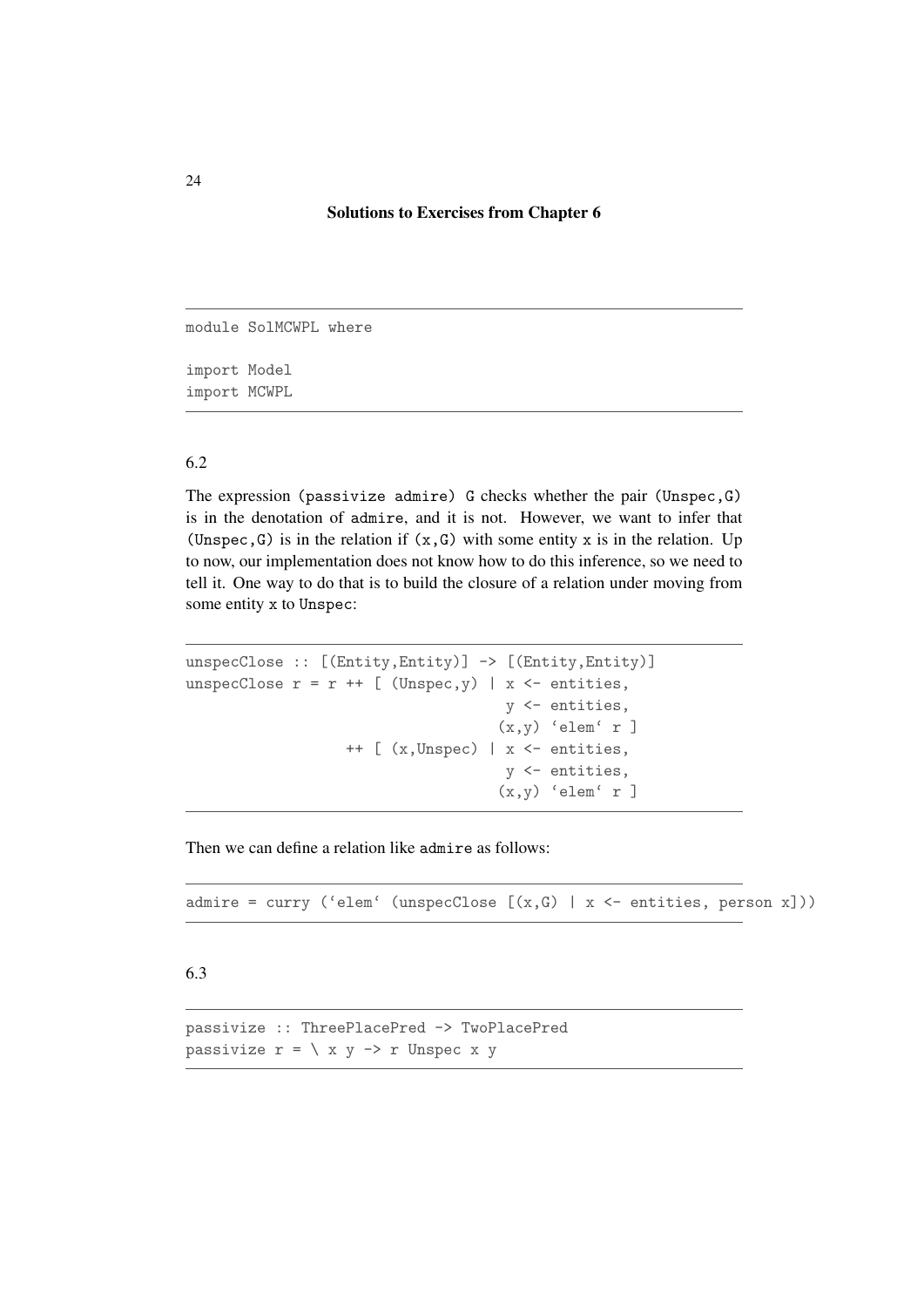#### Solutions to Exercises from Chapter 6

module SolMCWPL where import Model import MCWPL

#### 6.2

The expression (passivize admire) G checks whether the pair (Unspec,G) is in the denotation of admire, and it is not. However, we want to infer that (Unspec, G) is in the relation if  $(x, G)$  with some entity x is in the relation. Up to now, our implementation does not know how to do this inference, so we need to tell it. One way to do that is to build the closure of a relation under moving from some entity x to Unspec:

```
unspecClose :: [(Entity,Entity)] -> [(Entity,Entity)]
unspecClose r = r + [ (Unspec, y) | x <- entities,
                                    y <- entities,
                                   (x,y) 'elem' r ]
                  ++ [ (x,Unspec) | x <- entities,
                                    y <- entities,
                                   (x,y) 'elem' r ]
```
Then we can define a relation like admire as follows:

admire = curry ('elem' (unspecClose  $[(x, G) | x \leftarrow$  entities, person x]))

#### 6.3

passivize :: ThreePlacePred -> TwoPlacePred passivize  $r = \langle x, y \rangle$  > r Unspec x y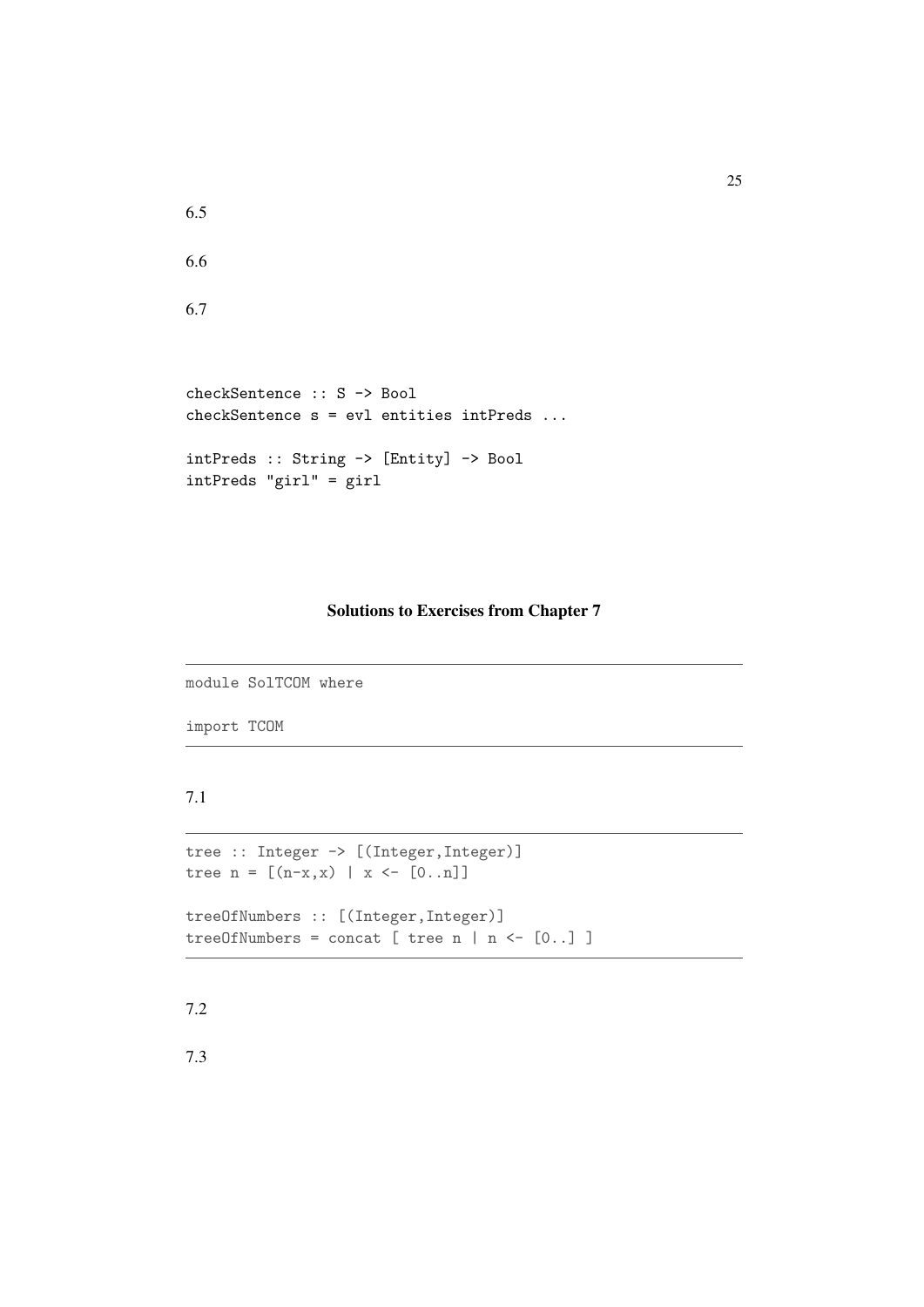```
6.5
```

```
6.7
```

```
checkSentence :: S -> Bool
checkSentence s = evl entities intPreds ...
intPreds :: String -> [Entity] -> Bool
intPreds "girl" = girl
```
## Solutions to Exercises from Chapter 7

```
module SolTCOM where
```
import TCOM

## 7.1

```
tree :: Integer -> [(Integer,Integer)]
tree n = [(n-x, x) | x \leftarrow [0..n] ]treeOfNumbers :: [(Integer,Integer)]
treeOfNumbers = concat [ tree n | n <- [0..] ]
```
7.2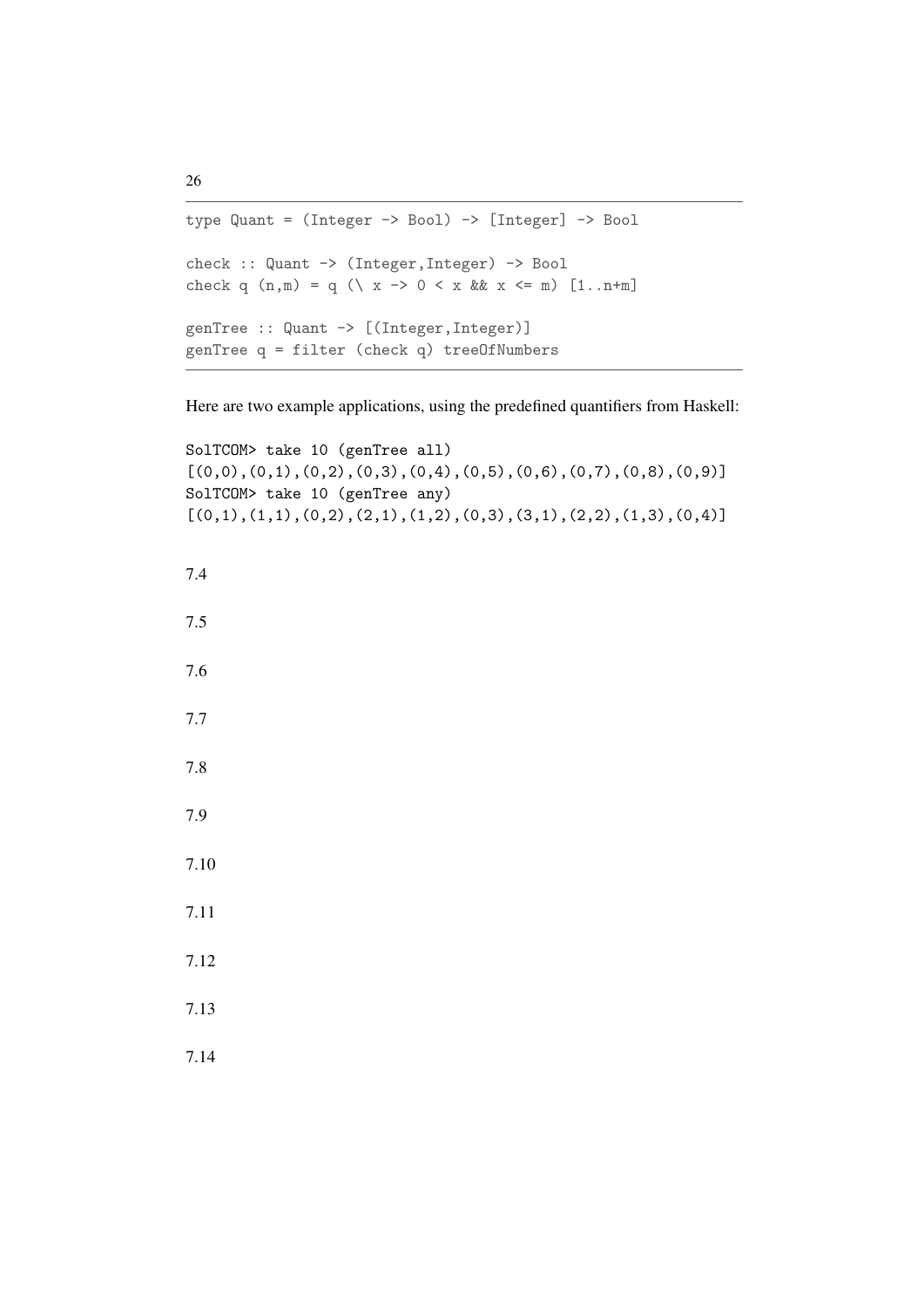```
type Quant = (Integer -> Bool) -> [Integer] -> Bool
check :: Quant -> (Integer,Integer) -> Bool
check q (n,m) = q (\{ x \rightarrow 0 \le x \& x \le m \} [1..n+m]genTree :: Quant -> [(Integer,Integer)]
genTree q = filter (check q) treeOfNumbers
```
Here are two example applications, using the predefined quantifiers from Haskell:

```
SolTCOM> take 10 (genTree all)
[(0,0), (0,1), (0,2), (0,3), (0,4), (0,5), (0,6), (0,7), (0,8), (0,9)]SolTCOM> take 10 (genTree any)
[(0,1),(1,1),(0,2),(2,1),(1,2),(0,3),(3,1),(2,2),(1,3),(0,4)]7.4
7.5
7.6
7.7
7.8
7.9
7.10
7.11
7.12
7.13
7.14
```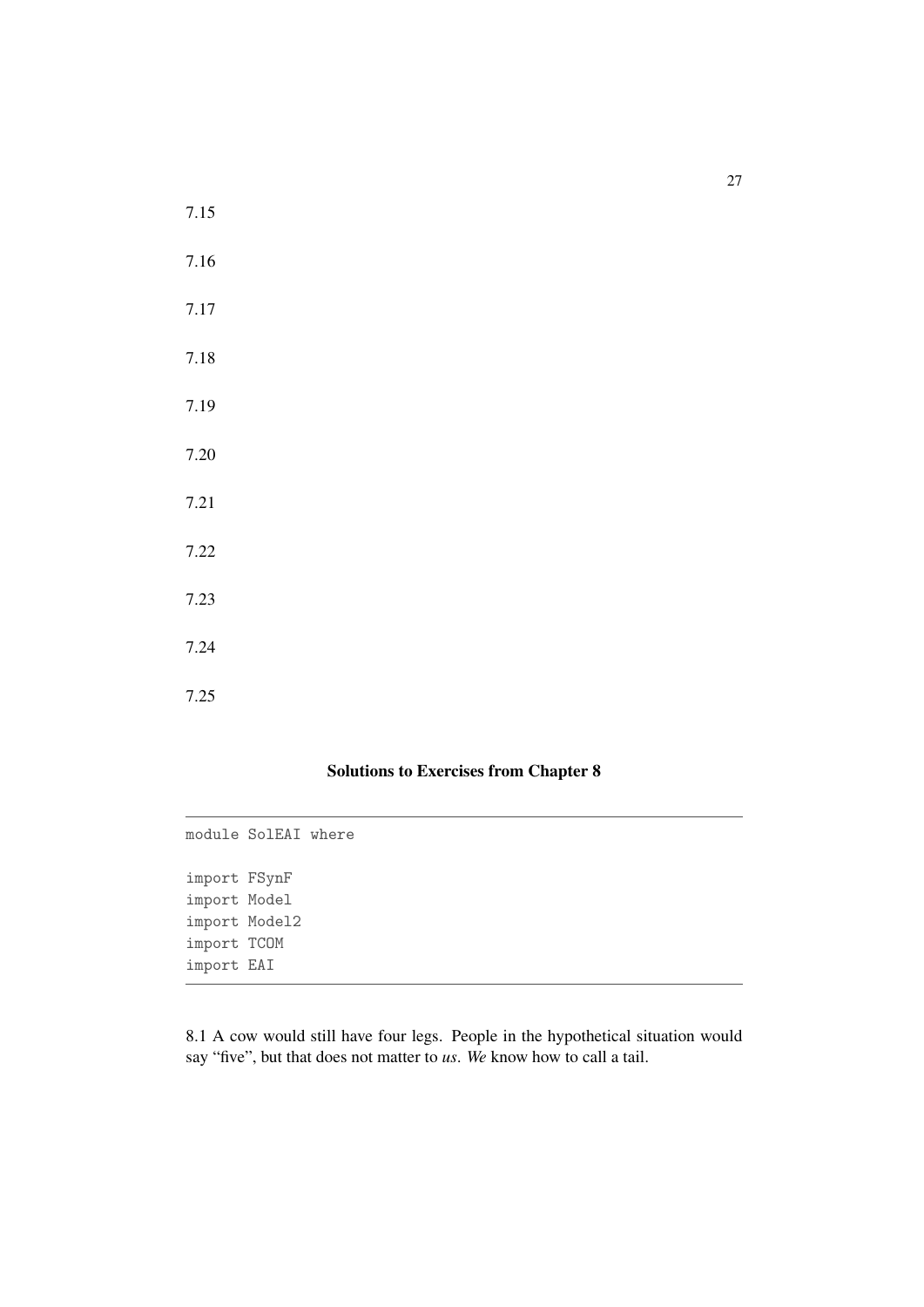7.15 7.16

7.17

7.18

7.19

7.20

7.21

7.22

7.23

7.24

7.25

## Solutions to Exercises from Chapter 8

module SolEAI where import FSynF import Model import Model2 import TCOM import EAI

8.1 A cow would still have four legs. People in the hypothetical situation would say "five", but that does not matter to *us*. *We* know how to call a tail.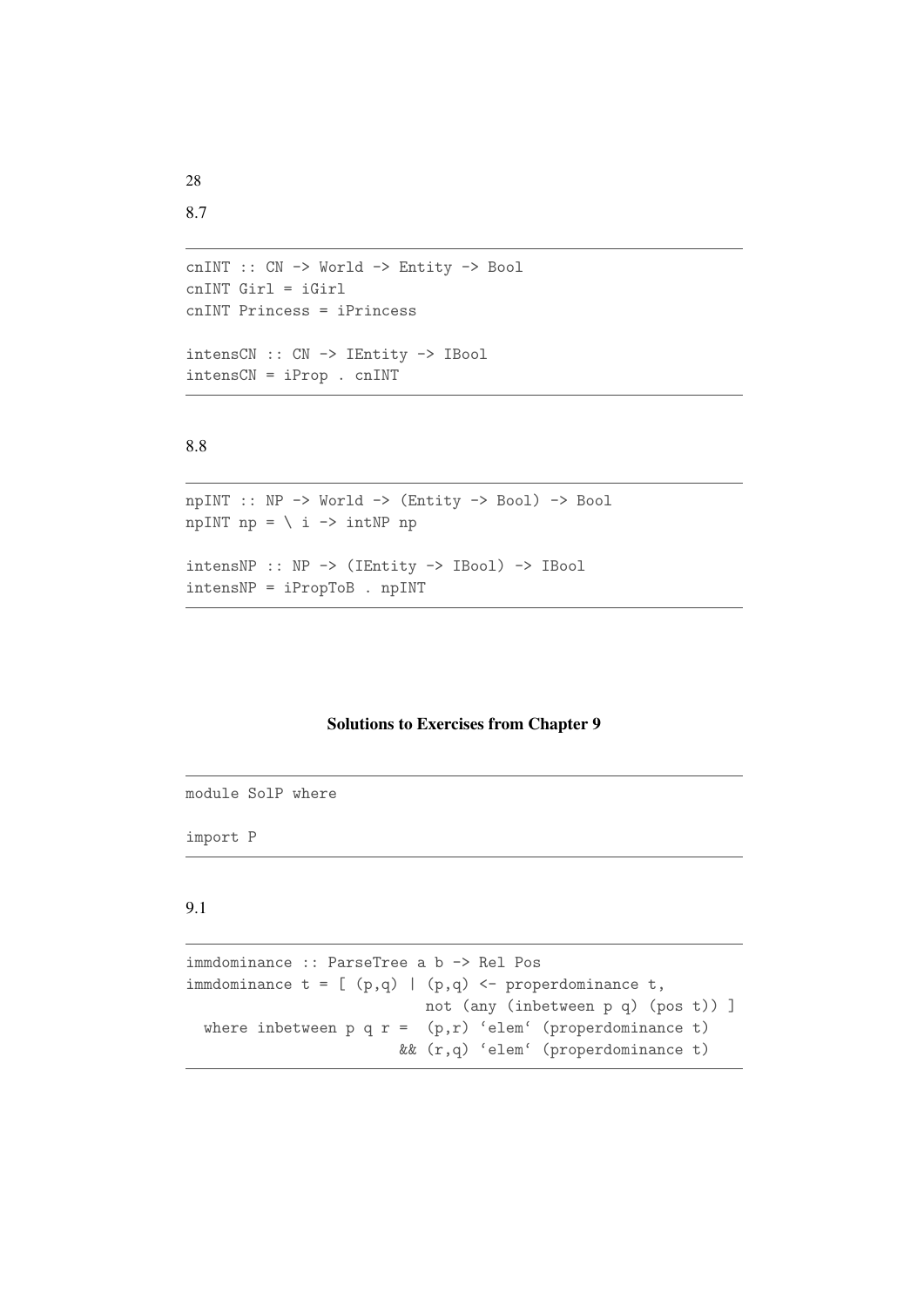```
cnINT :: CN -> World -> Entity -> Bool
cnINT Girl = iGirl
cnINT Princess = iPrincess
intensCN :: CN -> IEntity -> IBool
intensCN = iProp . cnINT
```

```
npINT :: NP -> World -> (Entity -> Bool) -> Bool
npINT np = \ i \rightarrow intNP npintensNP :: NP -> (IEntity -> IBool) -> IBool
intensNP = iPropToB . npINT
```
## Solutions to Exercises from Chapter 9

module SolP where

import P

## 9.1

immdominance :: ParseTree a b -> Rel Pos immdominance  $t = [ (p,q) | (p,q) <$ - properdominance  $t$ , not (any (inbetween p q) (pos t)) ] where inbetween p q  $r = (p,r)$  'elem' (properdominance t) && (r,q) 'elem' (properdominance t)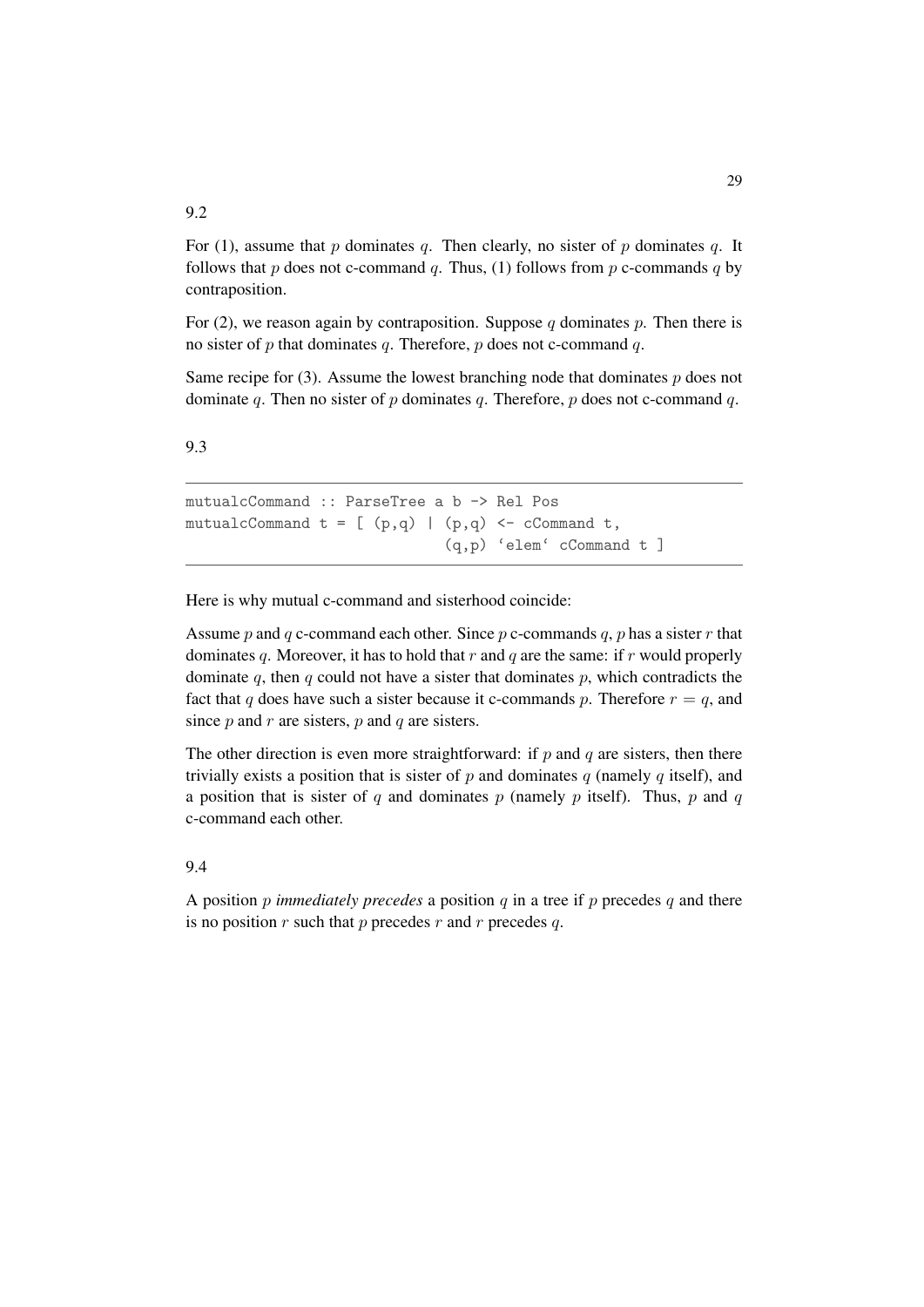For (1), assume that p dominates q. Then clearly, no sister of p dominates q. It follows that p does not c-command q. Thus, (1) follows from p c-commands q by contraposition.

For (2), we reason again by contraposition. Suppose q dominates p. Then there is no sister of p that dominates q. Therefore, p does not c-command q.

Same recipe for  $(3)$ . Assume the lowest branching node that dominates p does not dominate q. Then no sister of  $p$  dominates  $q$ . Therefore,  $p$  does not c-command  $q$ .

#### 9.3

mutualcCommand :: ParseTree a b -> Rel Pos mutualcCommand  $t = [ (p,q) | (p,q) < -c$ Command t, (q,p) 'elem' cCommand t ]

Here is why mutual c-command and sisterhood coincide:

Assume p and q c-command each other. Since p c-commands q, p has a sister r that dominates q. Moreover, it has to hold that  $r$  and  $q$  are the same: if  $r$  would properly dominate q, then q could not have a sister that dominates  $p$ , which contradicts the fact that q does have such a sister because it c-commands p. Therefore  $r = q$ , and since  $p$  and  $r$  are sisters,  $p$  and  $q$  are sisters.

The other direction is even more straightforward: if  $p$  and  $q$  are sisters, then there trivially exists a position that is sister of  $p$  and dominates  $q$  (namely  $q$  itself), and a position that is sister of q and dominates p (namely p itself). Thus, p and q c-command each other.

#### 9.4

A position p *immediately precedes* a position q in a tree if p precedes q and there is no position  $r$  such that  $p$  precedes  $r$  and  $r$  precedes  $q$ .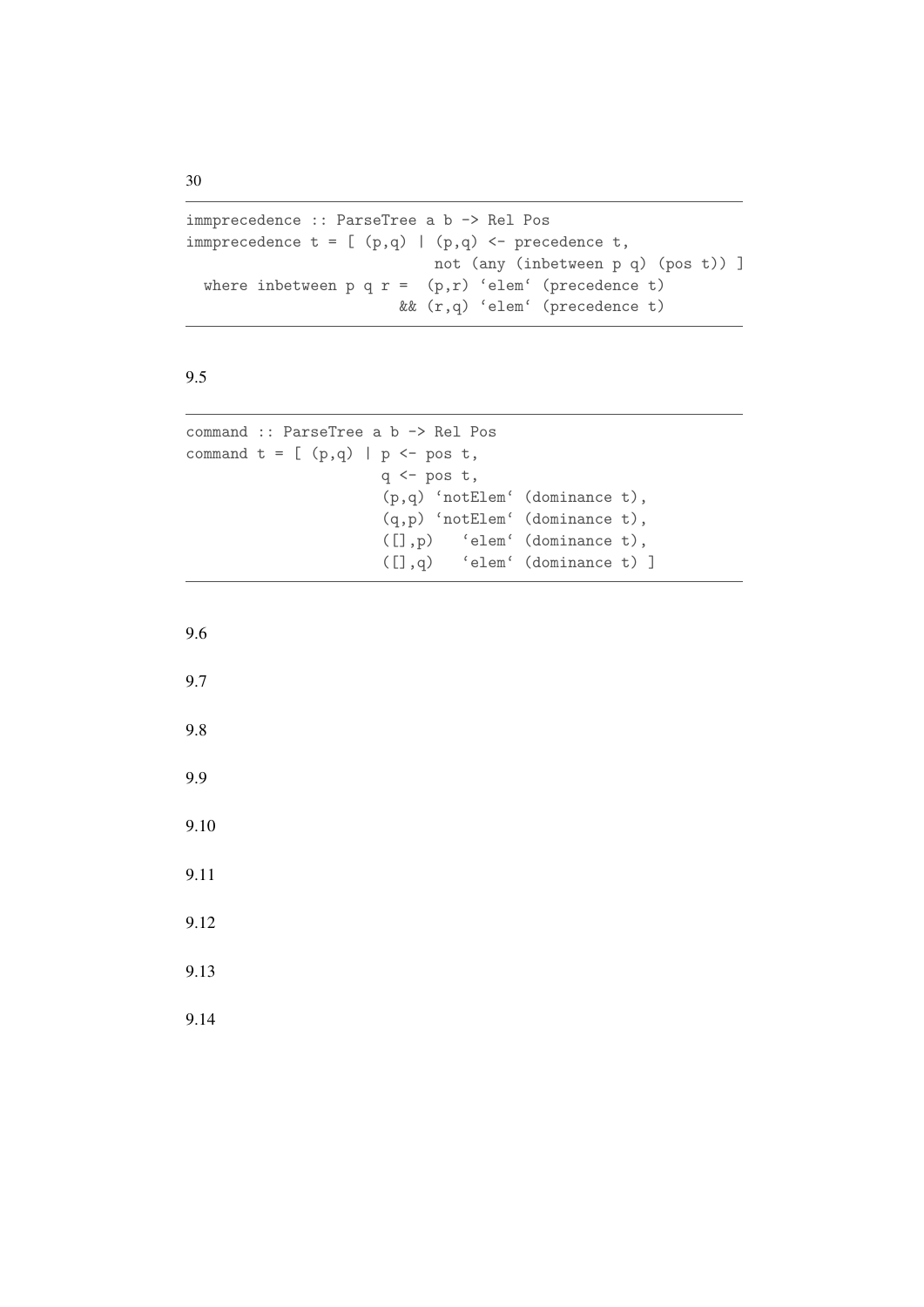```
immprecedence :: ParseTree a b -> Rel Pos
immprecedence t = [ (p,q) | (p,q) < - precedence t,
                           not (any (inbetween p q) (pos t)) ]
 where inbetween p q r = (p,r) 'elem' (precedence t)
                        && (r,q) 'elem' (precedence t)
```

```
command :: ParseTree a b -> Rel Pos
command t = [ (p,q) | p \leftarrow pos t,q \leftarrow pos t,
                       (p,q) 'notElem' (dominance t),
                       (q,p) 'notElem' (dominance t),
                       ([],p) 'elem' (dominance t),
                       ([],q) 'elem' (dominance t) ]
```
9.6

9.7

9.8

9.9

9.10

9.11

9.12

9.13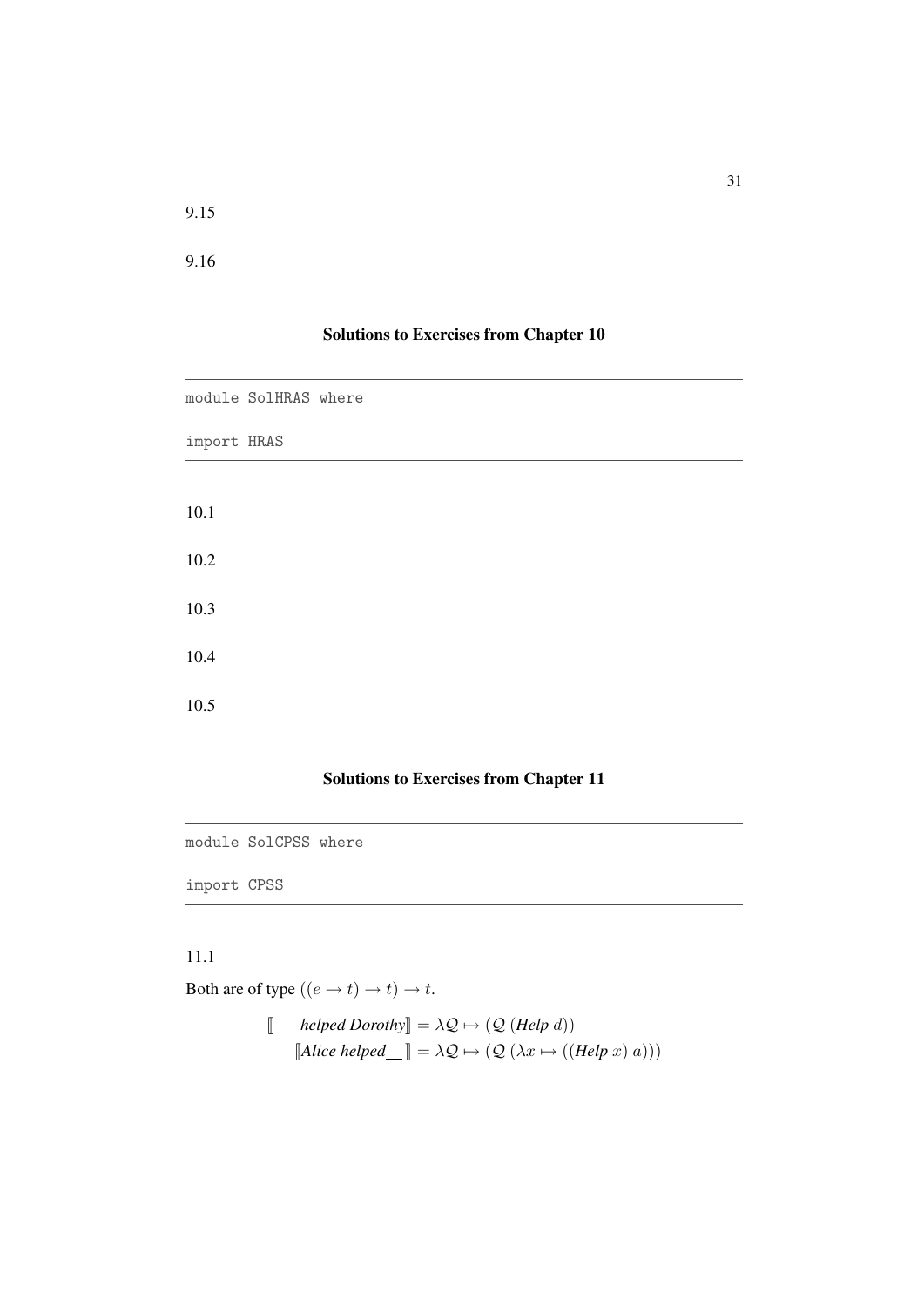9.16

## Solutions to Exercises from Chapter 10

|             | module SolHRAS where |  |
|-------------|----------------------|--|
| import HRAS |                      |  |
| 10.1        |                      |  |
| 10.2        |                      |  |
| 10.3        |                      |  |
| 10.4        |                      |  |
| 10.5        |                      |  |

## Solutions to Exercises from Chapter 11

module SolCPSS where

import CPSS

## 11.1

Both are of type  $((e \rightarrow t) \rightarrow t) \rightarrow t$ .

 $\llbracket \_\_\_\_\_\_\_\_\_\_\_\_\_\_\_\_\_\_\_\_\_\_\_\_\_$  $\llbracket \text{Alice helped} \_\ \rrbracket = \lambda \mathcal{Q} \mapsto \left( \mathcal{Q} \left( \lambda x \mapsto \left( \text{(Help } x\right) a\right) \right) \right)$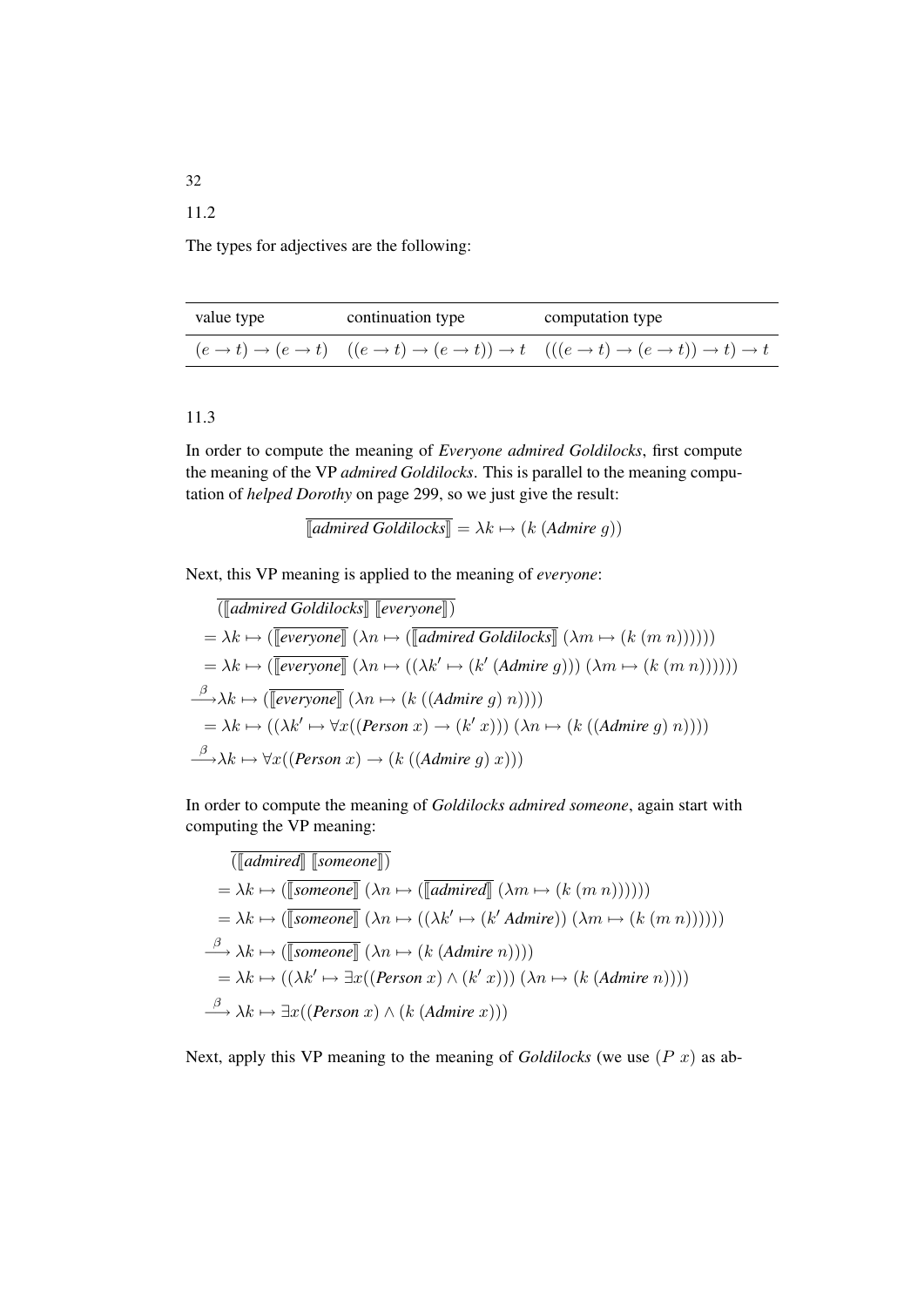The types for adjectives are the following:

| value type | continuation type | computation type                                                                                      |  |  |
|------------|-------------------|-------------------------------------------------------------------------------------------------------|--|--|
|            |                   | $(e \to t) \to (e \to t)$ $((e \to t) \to (e \to t)) \to t$ $(((e \to t) \to (e \to t)) \to t) \to t$ |  |  |

## 11.3

In order to compute the meaning of *Everyone admired Goldilocks*, first compute the meaning of the VP *admired Goldilocks*. This is parallel to the meaning computation of *helped Dorothy* on page 299, so we just give the result:

$$
[admixed Goldilocks] = \lambda k \mapsto (k (Admire g))
$$

Next, this VP meaning is applied to the meaning of *everyone*:

the control of the control of the control of

$$
\boxed{(\llbracket \text{admired Goldilocks} \rrbracket \llbracket \text{everyone} \rrbracket)} \\
= \lambda k \mapsto (\llbracket \text{everyone} \rrbracket (\lambda n \mapsto (\llbracket \text{admired Goldilocks} \rrbracket (\lambda m \mapsto (k (m n))))) \\
= \lambda k \mapsto (\llbracket \text{everyone} \rrbracket (\lambda n \mapsto ((\lambda k' \mapsto (k' (Admire g))) (\lambda m \mapsto (k (m n))))) \\
\stackrel{\beta}{\longrightarrow} \lambda k \mapsto (\llbracket \text{everyone} \rrbracket (\lambda n \mapsto (k ((Admire g) n)))) \\
= \lambda k \mapsto ((\lambda k' \mapsto \forall x ((\text{Person } x) \to (k' x))) (\lambda n \mapsto (k ((Admire g) n)))) \\
\stackrel{\beta}{\longrightarrow} \lambda k \mapsto \forall x ((\text{Person } x) \to (k ((Admire g) x)))
$$

In order to compute the meaning of *Goldilocks admired someone*, again start with computing the VP meaning:

$$
\boxed{(\boxed{admired} \boxed{[someone]} )}
$$
\n
$$
= \lambda k \mapsto (\boxed{[\text{someone}]} (\lambda n \mapsto (\boxed{[\text{admired}]} (\lambda m \mapsto (k (m n)))))
$$
\n
$$
= \lambda k \mapsto (\boxed{[\text{someone}]} (\lambda n \mapsto ((\lambda k' \mapsto (k' \text{Admire})) (\lambda m \mapsto (k (m n)))))
$$
\n
$$
\xrightarrow{\beta} \lambda k \mapsto (\boxed{[\text{someone}]} (\lambda n \mapsto (k (\text{Admire} n))))
$$
\n
$$
= \lambda k \mapsto ((\lambda k' \mapsto \exists x ((\text{Person } x) \wedge (k' x))) (\lambda n \mapsto (k (\text{Admire} n))))
$$
\n
$$
\xrightarrow{\beta} \lambda k \mapsto \exists x ((\text{Person } x) \wedge (k (\text{Admire} x)))
$$

Next, apply this VP meaning to the meaning of *Goldilocks* (we use (P x) as ab-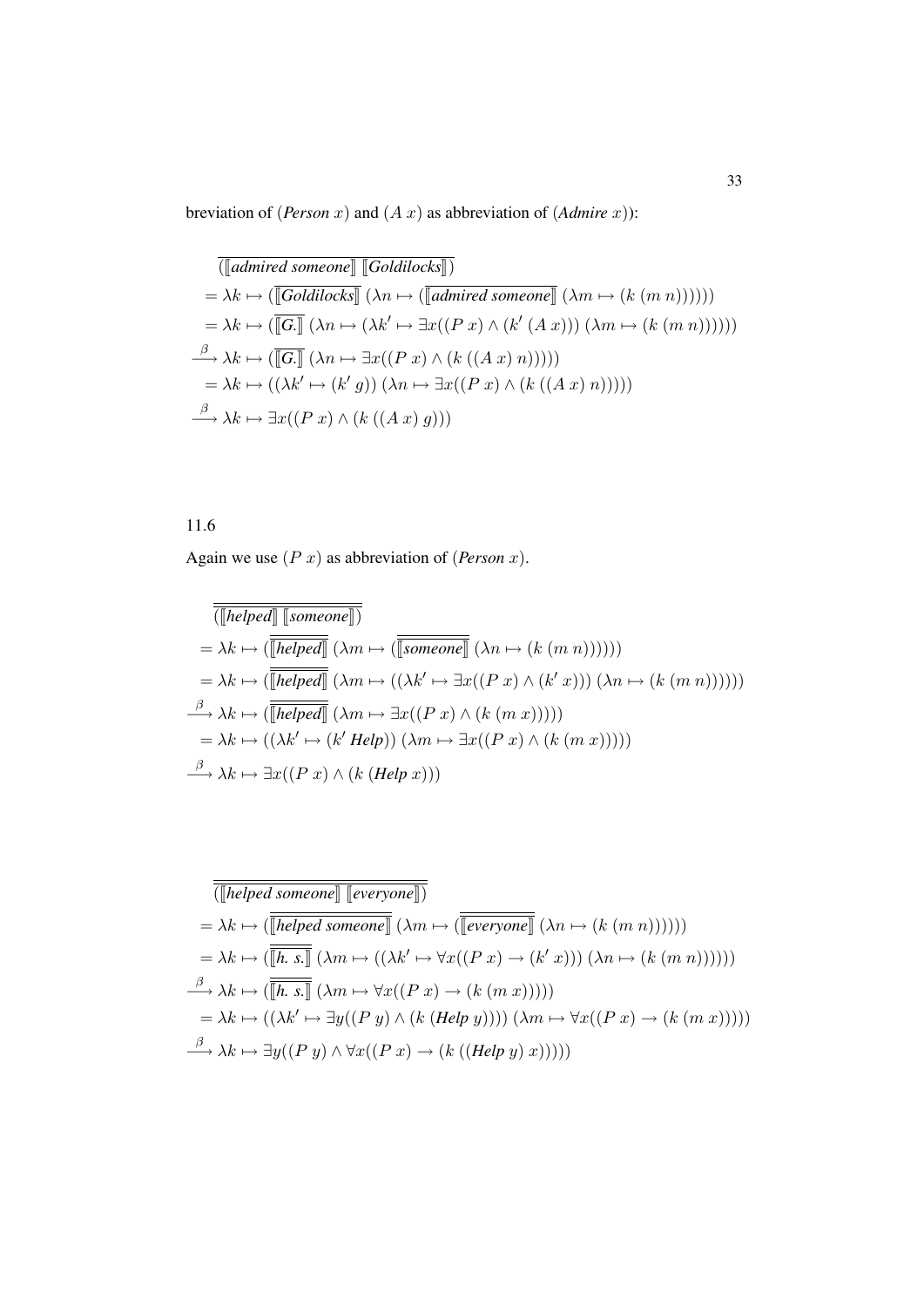breviation of (*Person x*) and  $(A x)$  as abbreviation of  $(Admire x)$ ):

$$
\boxed{(\boxed{admired someone} \boxed{Goldilocks} \boxed{)}}
$$
\n
$$
= \lambda k \mapsto (\boxed{Goldilocks} \boxed{(\lambda n \mapsto (\boxed{admired someone} \boxed{(\lambda m \mapsto (k (m n)))})))}
$$
\n
$$
= \lambda k \mapsto (\boxed{[\overline{G \cdot}]} (\lambda n \mapsto (\lambda k' \mapsto \exists x ((P x) \land (k' (A x))) (\lambda m \mapsto (k (m n)))))
$$
\n
$$
\xrightarrow{\beta} \lambda k \mapsto (\boxed{[\overline{G \cdot}]} (\lambda n \mapsto \exists x ((P x) \land (k ((A x) n)))))
$$
\n
$$
= \lambda k \mapsto ((\lambda k' \mapsto (k' g)) (\lambda n \mapsto \exists x ((P x) \land (k ((A x) n)))))
$$
\n
$$
\xrightarrow{\beta} \lambda k \mapsto \exists x ((P x) \land (k ((A x) g)))
$$

11.6

Again we use (P x) as abbreviation of (*Person* x).

$$
\overline{(\llbracket \text{helped} \rrbracket \llbracket \text{someone} \rrbracket)}\n= \lambda k \mapsto (\overline{\llbracket \text{helped} \rrbracket} (\lambda m \mapsto (\overline{\llbracket \text{someone} \rrbracket} (\lambda n \mapsto (k (m n)))))\n= \lambda k \mapsto (\overline{\llbracket \text{helped} \rrbracket} (\lambda m \mapsto ((\lambda k' \mapsto \exists x ((P x) \land (k' x))) (\lambda n \mapsto (k (m n)))))\n= \lambda k \mapsto (\overline{\llbracket \text{helped} \rrbracket} (\lambda m \mapsto \exists x ((P x) \land (k (m x)))))\n= \lambda k \mapsto ((\lambda k' \mapsto (k' \text{ Help})) (\lambda m \mapsto \exists x ((P x) \land (k (m x)))))\n\stackrel{\beta}{\longrightarrow} \lambda k \mapsto \exists x ((P x) \land (k (\text{Help } x)))
$$

$$
\overline{\langle[\![{helped\;someone}]\!]}\begin{aligned}\n&= \lambda k \mapsto (\overline{\langle[\![{helped\;someone}]\!]}\!] \text{ (}\lambda m \mapsto (\overline{\langle[\![{everyone}]\!]}\!] \text{ (}\lambda n \mapsto (k (m n)))))\n\end{aligned})
$$
\n
$$
= \lambda k \mapsto (\overline{\langle[\![{h, s}]\!]} \text{ (}\lambda m \mapsto ((\lambda k' \mapsto \forall x ((P x) \to (k' x))) (\lambda n \mapsto (k (m n)))))\n\end{aligned})
$$
\n
$$
\xrightarrow{\beta} \lambda k \mapsto (\overline{\langle[\![{h, s}]\!]} \text{ (}\lambda m \mapsto \forall x ((P x) \to (k (m x)))))\n\end{aligned})
$$
\n
$$
= \lambda k \mapsto ((\lambda k' \mapsto \exists y ((P y) \land (k (Help y)))) (\lambda m \mapsto \forall x ((P x) \to (k (m x)))))\n\begin{aligned}\n&\stackrel{\beta}{\longrightarrow} \lambda k \mapsto \exists y ((P y) \land \forall x ((P x) \to (k ( (Help y) x))))\n\end{aligned})
$$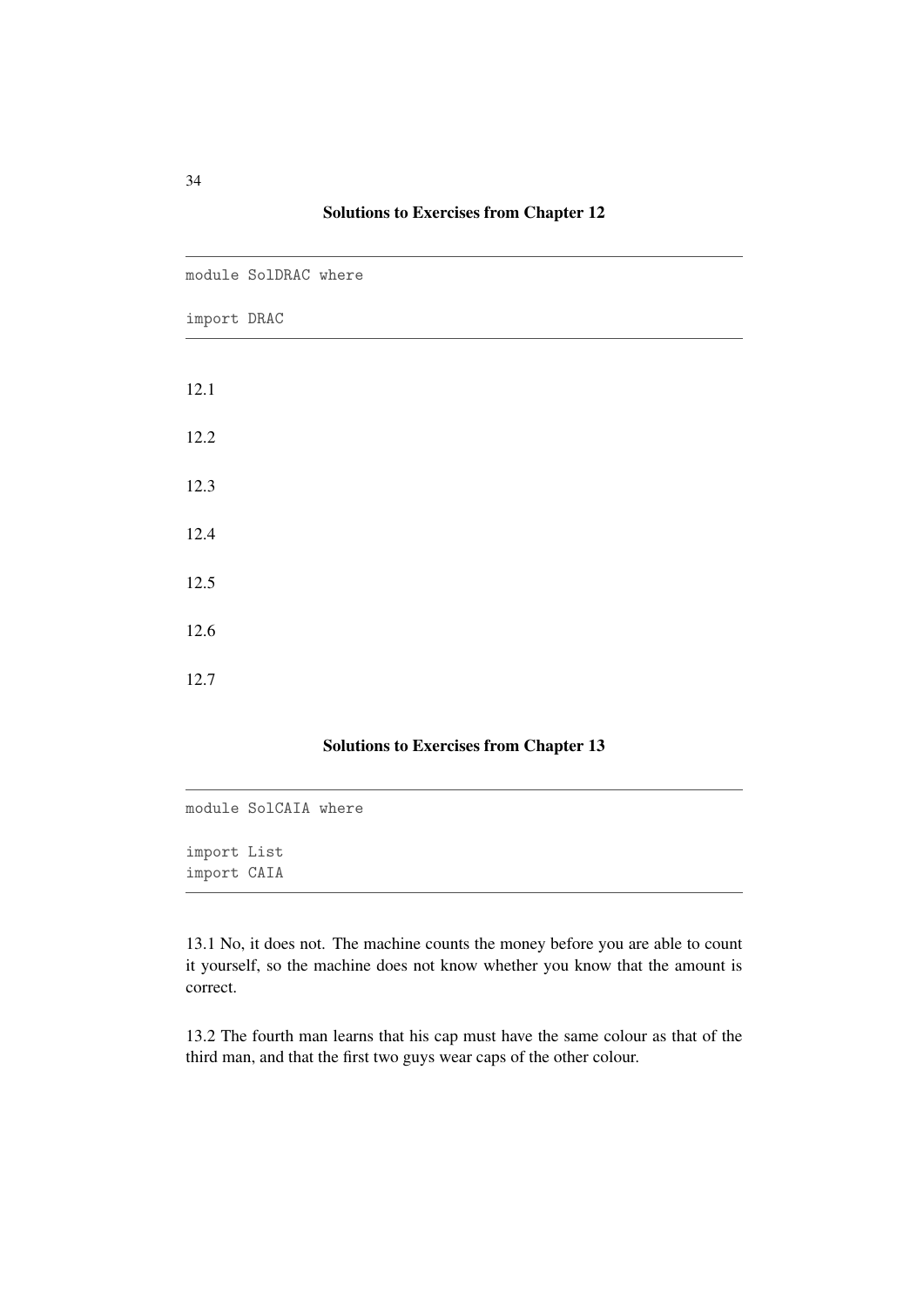|             | module SolDRAC where |  |  |  |
|-------------|----------------------|--|--|--|
| import DRAC |                      |  |  |  |
|             |                      |  |  |  |
| 12.1        |                      |  |  |  |
| 12.2        |                      |  |  |  |
| 12.3        |                      |  |  |  |
| 12.4        |                      |  |  |  |
| 12.5        |                      |  |  |  |
| 12.6        |                      |  |  |  |
| 12.7        |                      |  |  |  |

#### Solutions to Exercises from Chapter 13

```
module SolCAIA where
import List
import CAIA
```
13.1 No, it does not. The machine counts the money before you are able to count it yourself, so the machine does not know whether you know that the amount is correct.

13.2 The fourth man learns that his cap must have the same colour as that of the third man, and that the first two guys wear caps of the other colour.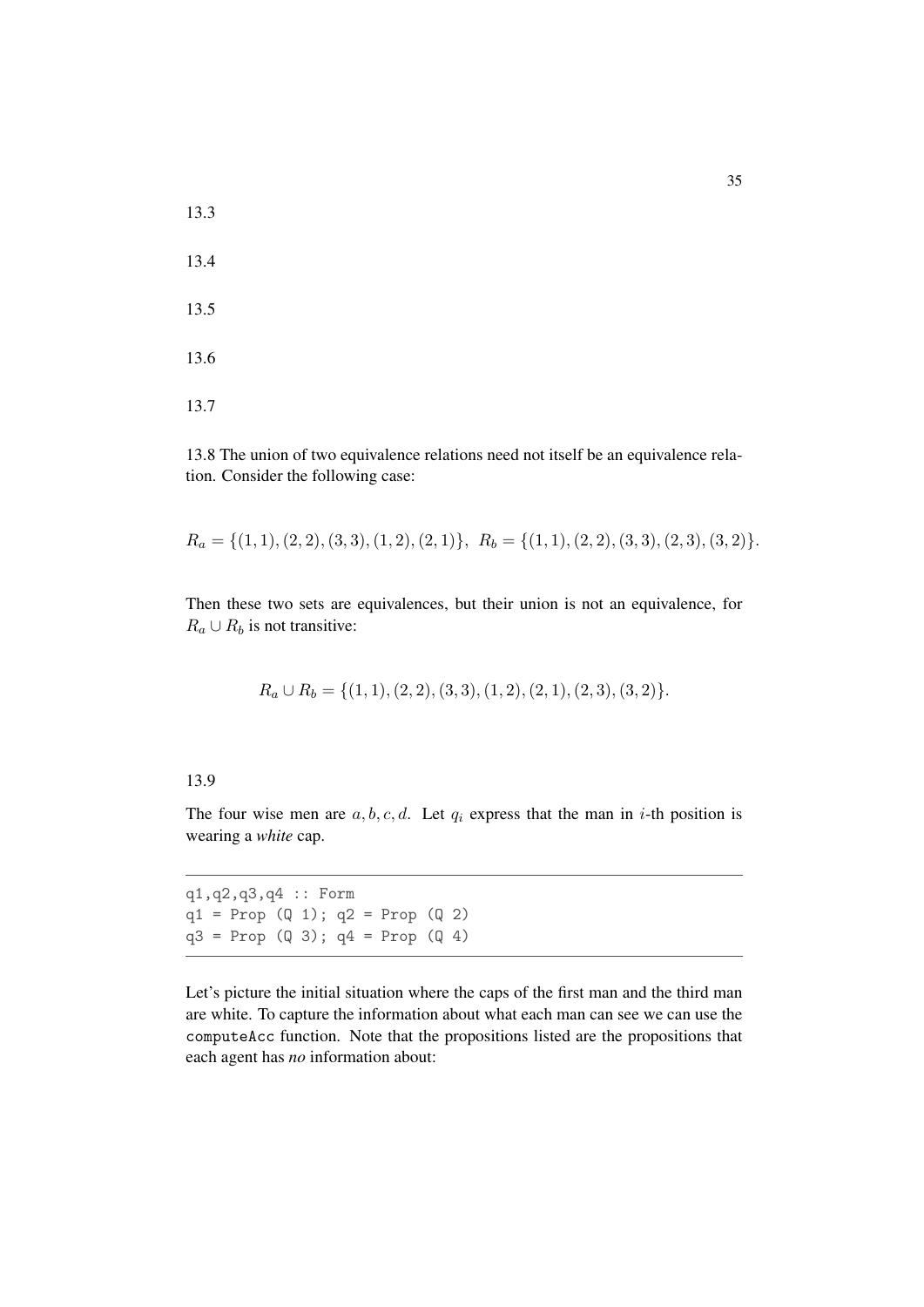13.3 13.4 13.5 13.6 13.7

13.8 The union of two equivalence relations need not itself be an equivalence relation. Consider the following case:

 $R_a = \{(1, 1), (2, 2), (3, 3), (1, 2), (2, 1)\}, R_b = \{(1, 1), (2, 2), (3, 3), (2, 3), (3, 2)\}.$ 

Then these two sets are equivalences, but their union is not an equivalence, for  $R_a \cup R_b$  is not transitive:

 $R_a \cup R_b = \{(1, 1), (2, 2), (3, 3), (1, 2), (2, 1), (2, 3), (3, 2)\}.$ 

#### 13.9

The four wise men are  $a, b, c, d$ . Let  $q_i$  express that the man in *i*-th position is wearing a *white* cap.

q1,q2,q3,q4 :: Form  $q1 = Prop (Q 1); q2 = Prop (Q 2)$  $q3 = Prop (Q 3); q4 = Prop (Q 4)$ 

Let's picture the initial situation where the caps of the first man and the third man are white. To capture the information about what each man can see we can use the computeAcc function. Note that the propositions listed are the propositions that each agent has *no* information about: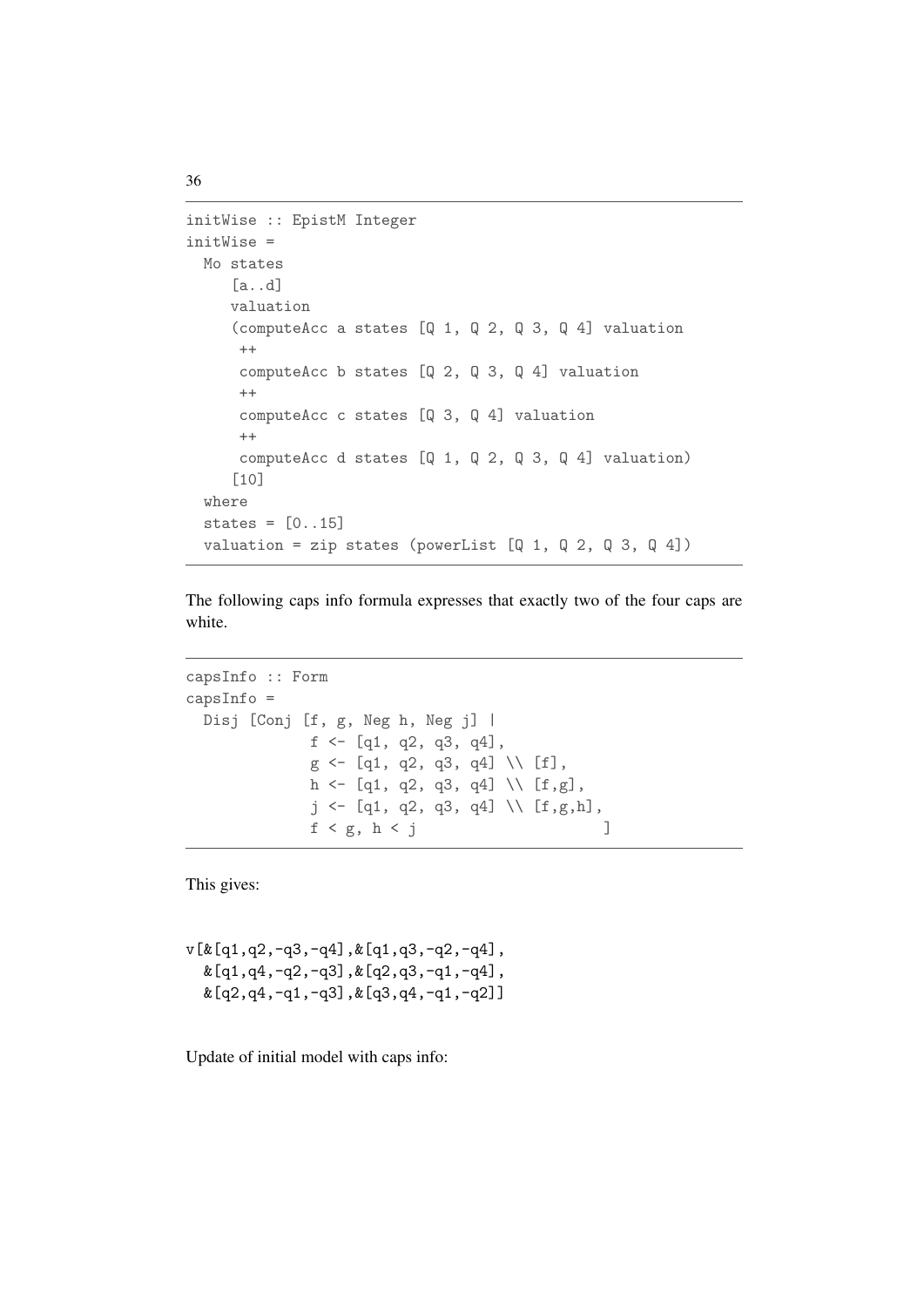```
initWise :: EpistM Integer
initWise =
 Mo states
     [a..d]
    valuation
     (computeAcc a states [Q 1, Q 2, Q 3, Q 4] valuation
      ++
     computeAcc b states [Q 2, Q 3, Q 4] valuation
      ++
     computeAcc c states [Q 3, Q 4] valuation
      ++
      computeAcc d states [Q 1, Q 2, Q 3, Q 4] valuation)
     [10]
  where
  states = [0..15]valuation = zip states (powerList [Q 1, Q 2, Q 3, Q 4])
```
The following caps info formula expresses that exactly two of the four caps are white.

```
capsInfo :: Form
capsInfo =
 Disj [Conj [f, g, Neg h, Neg j] |
               f \leftarrow [q1, q2, q3, q4],g \leftarrow [q1, q2, q3, q4] \ \backslash \ [f],h <- [q1, q2, q3, q4] \\ [f,g],
                j \leftarrow [q1, q2, q3, q4] \ \backslash \ [f,g,h],f < g, h < j ]
```
This gives:

v[&[q1,q2,-q3,-q4],&[q1,q3,-q2,-q4],  $\&$  [q1,q4,-q2,-q3], $&$  [q2,q3,-q1,-q4],  $k[q2,q4,-q1,-q3],k[q3,q4,-q1,-q2]]$ 

Update of initial model with caps info: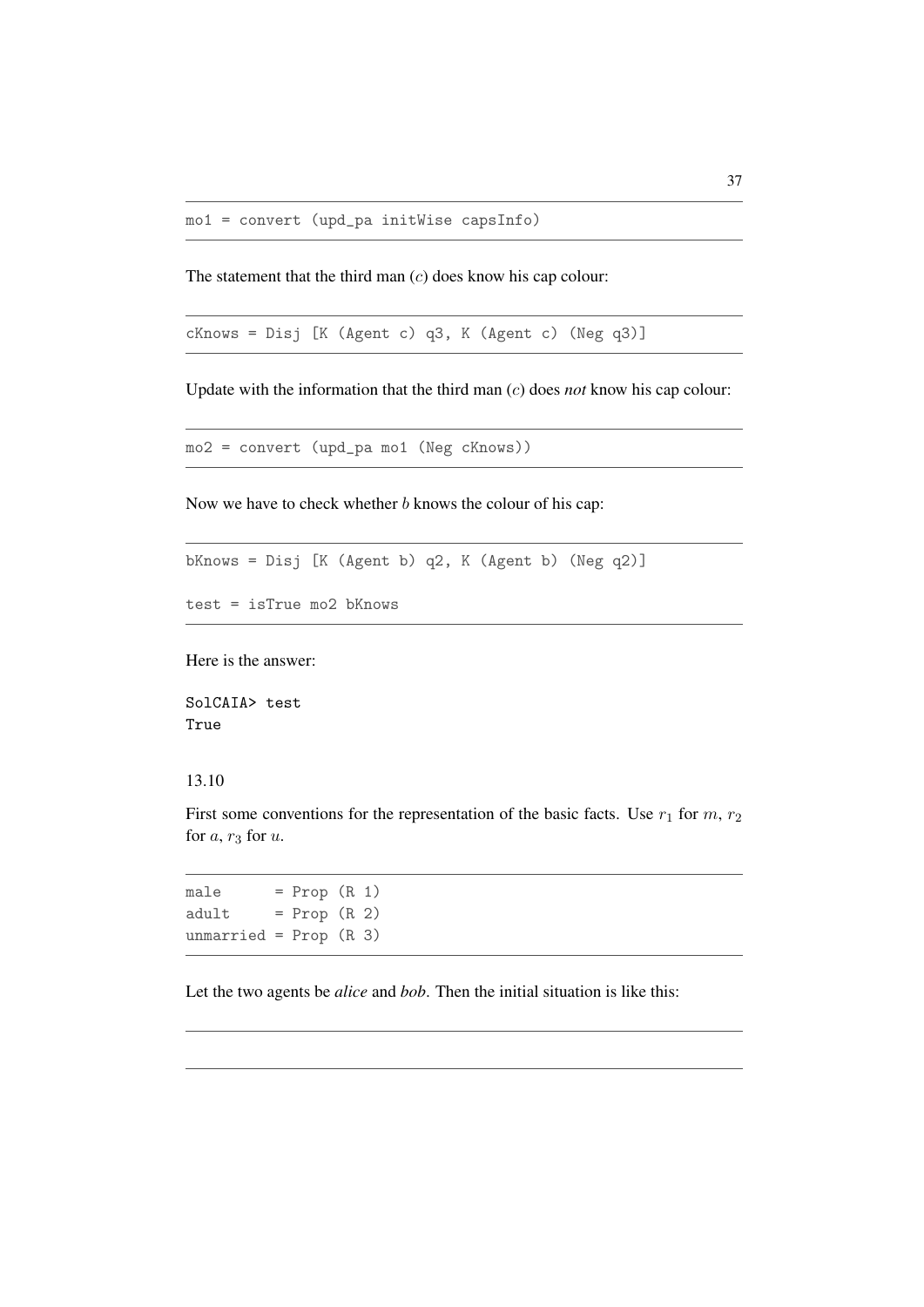The statement that the third man  $(c)$  does know his cap colour:

cKnows = Disj [K (Agent c) q3, K (Agent c) (Neg q3)]

Update with the information that the third man (c) does *not* know his cap colour:

```
mo2 = convert (upd_pa mo1 (Neg cKnows))
```
Now we have to check whether  $b$  knows the colour of his cap:

bKnows = Disj [K (Agent b) q2, K (Agent b) (Neg q2)]

```
test = isTrue mo2 bKnows
```
Here is the answer:

SolCAIA> test True

#### 13.10

First some conventions for the representation of the basic facts. Use  $r_1$  for  $m$ ,  $r_2$ for  $a, r_3$  for  $u$ .

 $male = Prop(R 1)$  $adult = Prop (R 2)$ unmarried =  $Prop (R 3)$ 

Let the two agents be *alice* and *bob*. Then the initial situation is like this: